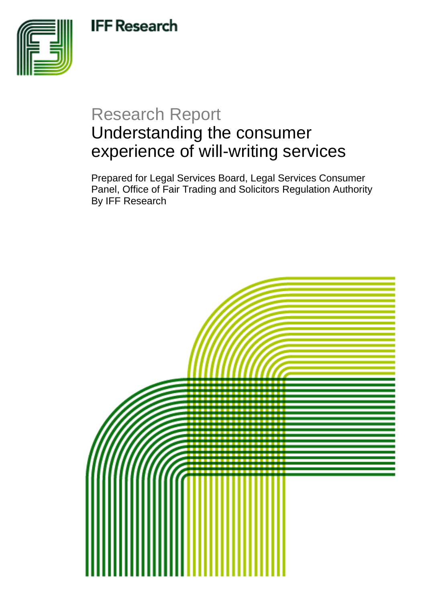**IFF Research** 



# Research Report Understanding the consumer experience of will-writing services

Prepared for Legal Services Board, Legal Services Consumer Panel, Office of Fair Trading and Solicitors Regulation Authority By IFF Research

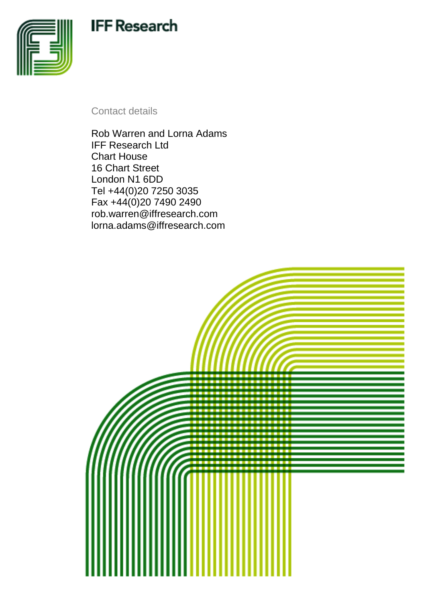# **IFF Research**



Contact details

Rob Warren and Lorna Adams IFF Research Ltd Chart House 16 Chart Street London N1 6DD Tel +44(0)20 7250 3035 Fax +44(0)20 7490 2490 rob.warren@iffresearch.com lorna.adams@iffresearch.com

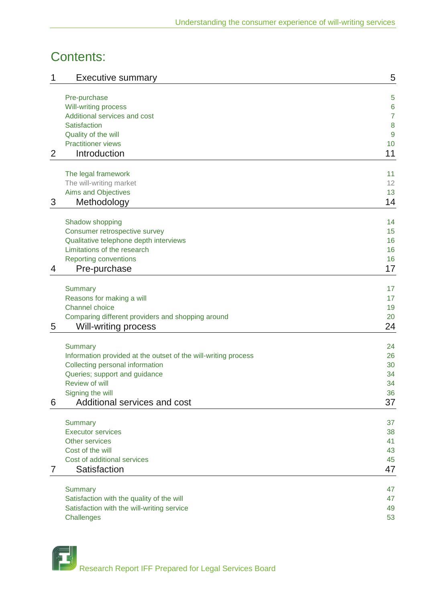## Contents:

| 1 | <b>Executive summary</b>                                       | 5              |
|---|----------------------------------------------------------------|----------------|
|   | Pre-purchase                                                   | 5              |
|   | <b>Will-writing process</b>                                    | 6              |
|   | Additional services and cost                                   | $\overline{7}$ |
|   | Satisfaction                                                   | 8              |
|   | Quality of the will                                            | 9              |
|   | <b>Practitioner views</b>                                      | 10             |
| 2 | Introduction                                                   | 11             |
|   | The legal framework                                            | 11             |
|   | The will-writing market                                        | 12             |
|   | Aims and Objectives                                            | 13             |
| 3 | Methodology                                                    | 14             |
|   | Shadow shopping                                                | 14             |
|   | Consumer retrospective survey                                  | 15             |
|   | Qualitative telephone depth interviews                         | 16             |
|   | Limitations of the research                                    | 16             |
|   | <b>Reporting conventions</b>                                   | 16             |
| 4 | Pre-purchase                                                   | 17             |
|   | <b>Summary</b>                                                 | 17             |
|   | Reasons for making a will                                      | 17             |
|   | <b>Channel choice</b>                                          | 19             |
|   | Comparing different providers and shopping around              | 20             |
| 5 | Will-writing process                                           | 24             |
|   | <b>Summary</b>                                                 | 24             |
|   | Information provided at the outset of the will-writing process | 26             |
|   | Collecting personal information                                | 30             |
|   | Queries; support and guidance                                  | 34             |
|   | Review of will                                                 | 34             |
|   | Signing the will                                               | 36             |
| 6 | Additional services and cost                                   | 37             |
|   | <b>Summary</b>                                                 | 37             |
|   | <b>Executor services</b>                                       | 38             |
|   | Other services                                                 | 41             |
|   | Cost of the will                                               | 43             |
|   | Cost of additional services                                    | 45             |
| 7 | Satisfaction                                                   | 47             |
|   | <b>Summary</b>                                                 | 47             |
|   | Satisfaction with the quality of the will                      | 47             |
|   | Satisfaction with the will-writing service                     | 49             |
|   | Challenges                                                     | 53             |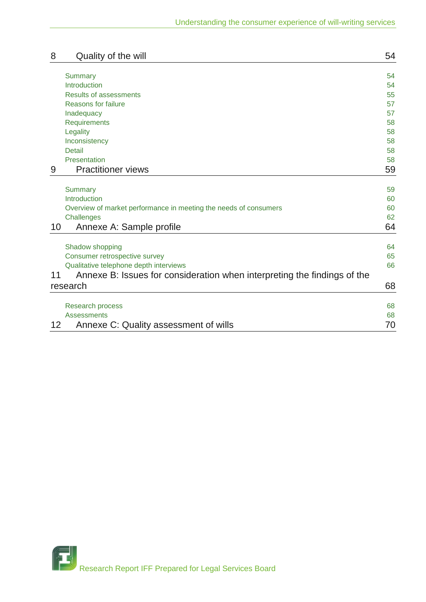| 8  | Quality of the will                                                      | 54 |
|----|--------------------------------------------------------------------------|----|
|    |                                                                          |    |
|    | <b>Summary</b>                                                           | 54 |
|    | Introduction                                                             | 54 |
|    | <b>Results of assessments</b>                                            | 55 |
|    | <b>Reasons for failure</b>                                               | 57 |
|    | Inadequacy                                                               | 57 |
|    | <b>Requirements</b>                                                      | 58 |
|    | Legality                                                                 | 58 |
|    | Inconsistency                                                            | 58 |
|    | <b>Detail</b>                                                            | 58 |
|    | Presentation                                                             | 58 |
| 9  | <b>Practitioner views</b>                                                | 59 |
|    |                                                                          |    |
|    | <b>Summary</b>                                                           | 59 |
|    | Introduction                                                             | 60 |
|    | Overview of market performance in meeting the needs of consumers         | 60 |
|    | Challenges                                                               | 62 |
| 10 | Annexe A: Sample profile                                                 | 64 |
|    | Shadow shopping                                                          | 64 |
|    | Consumer retrospective survey                                            | 65 |
|    | Qualitative telephone depth interviews                                   | 66 |
| 11 | Annexe B: Issues for consideration when interpreting the findings of the |    |
|    |                                                                          |    |
|    | research                                                                 | 68 |
|    | <b>Research process</b>                                                  | 68 |
|    | <b>Assessments</b>                                                       | 68 |
| 12 | Annexe C: Quality assessment of wills                                    | 70 |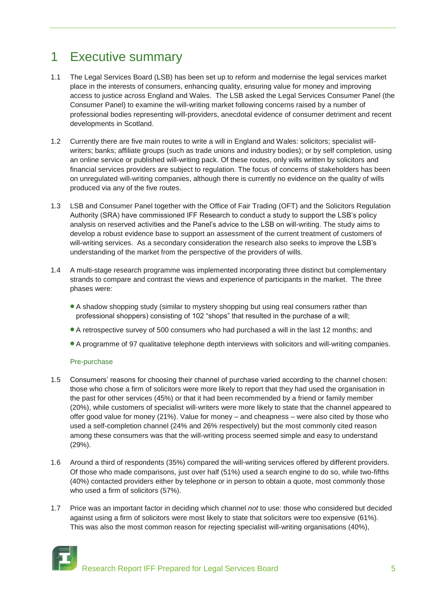## 1 Executive summary

- 1.1 The Legal Services Board (LSB) has been set up to reform and modernise the legal services market place in the interests of consumers, enhancing quality, ensuring value for money and improving access to justice across England and Wales. The LSB asked the Legal Services Consumer Panel (the Consumer Panel) to examine the will-writing market following concerns raised by a number of professional bodies representing will-providers, anecdotal evidence of consumer detriment and recent developments in Scotland.
- 1.2 Currently there are five main routes to write a will in England and Wales: solicitors; specialist willwriters; banks; affiliate groups (such as trade unions and industry bodies); or by self completion, using an online service or published will-writing pack. Of these routes, only wills written by solicitors and financial services providers are subject to regulation. The focus of concerns of stakeholders has been on unregulated will-writing companies, although there is currently no evidence on the quality of wills produced via any of the five routes.
- 1.3 LSB and Consumer Panel together with the Office of Fair Trading (OFT) and the Solicitors Regulation Authority (SRA) have commissioned IFF Research to conduct a study to support the LSB"s policy analysis on reserved activities and the Panel"s advice to the LSB on will-writing. The study aims to develop a robust evidence base to support an assessment of the current treatment of customers of will-writing services. As a secondary consideration the research also seeks to improve the LSB"s understanding of the market from the perspective of the providers of wills.
- 1.4 A multi-stage research programme was implemented incorporating three distinct but complementary strands to compare and contrast the views and experience of participants in the market. The three phases were:
	- A shadow shopping study (similar to mystery shopping but using real consumers rather than professional shoppers) consisting of 102 "shops" that resulted in the purchase of a will;
	- A retrospective survey of 500 consumers who had purchased a will in the last 12 months; and
	- A programme of 97 qualitative telephone depth interviews with solicitors and will-writing companies.

## Pre-purchase

- 1.5 Consumers" reasons for choosing their channel of purchase varied according to the channel chosen: those who chose a firm of solicitors were more likely to report that they had used the organisation in the past for other services (45%) or that it had been recommended by a friend or family member (20%), while customers of specialist will-writers were more likely to state that the channel appeared to offer good value for money (21%). Value for money – and cheapness – were also cited by those who used a self-completion channel (24% and 26% respectively) but the most commonly cited reason among these consumers was that the will-writing process seemed simple and easy to understand (29%).
- 1.6 Around a third of respondents (35%) compared the will-writing services offered by different providers. Of those who made comparisons, just over half (51%) used a search engine to do so, while two-fifths (40%) contacted providers either by telephone or in person to obtain a quote, most commonly those who used a firm of solicitors (57%).
- 1.7 Price was an important factor in deciding which channel *not* to use: those who considered but decided against using a firm of solicitors were most likely to state that solicitors were too expensive (61%). This was also the most common reason for rejecting specialist will-writing organisations (40%),

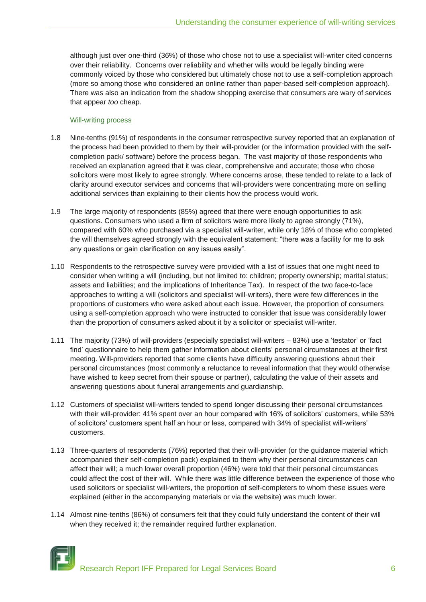although just over one-third (36%) of those who chose not to use a specialist will-writer cited concerns over their reliability. Concerns over reliability and whether wills would be legally binding were commonly voiced by those who considered but ultimately chose not to use a self-completion approach (more so among those who considered an online rather than paper-based self-completion approach). There was also an indication from the shadow shopping exercise that consumers are wary of services that appear *too* cheap.

#### Will-writing process

- 1.8 Nine-tenths (91%) of respondents in the consumer retrospective survey reported that an explanation of the process had been provided to them by their will-provider (or the information provided with the selfcompletion pack/ software) before the process began. The vast majority of those respondents who received an explanation agreed that it was clear, comprehensive and accurate; those who chose solicitors were most likely to agree strongly. Where concerns arose, these tended to relate to a lack of clarity around executor services and concerns that will-providers were concentrating more on selling additional services than explaining to their clients how the process would work.
- 1.9 The large majority of respondents (85%) agreed that there were enough opportunities to ask questions. Consumers who used a firm of solicitors were more likely to agree strongly (71%), compared with 60% who purchased via a specialist will-writer, while only 18% of those who completed the will themselves agreed strongly with the equivalent statement: "there was a facility for me to ask any questions or gain clarification on any issues easily".
- 1.10 Respondents to the retrospective survey were provided with a list of issues that one might need to consider when writing a will (including, but not limited to: children; property ownership; marital status; assets and liabilities; and the implications of Inheritance Tax). In respect of the two face-to-face approaches to writing a will (solicitors and specialist will-writers), there were few differences in the proportions of customers who were asked about each issue. However, the proportion of consumers using a self-completion approach who were instructed to consider that issue was considerably lower than the proportion of consumers asked about it by a solicitor or specialist will-writer.
- 1.11 The majority (73%) of will-providers (especially specialist will-writers 83%) use a "testator" or "fact find" questionnaire to help them gather information about clients" personal circumstances at their first meeting. Will-providers reported that some clients have difficulty answering questions about their personal circumstances (most commonly a reluctance to reveal information that they would otherwise have wished to keep secret from their spouse or partner), calculating the value of their assets and answering questions about funeral arrangements and guardianship.
- 1.12 Customers of specialist will-writers tended to spend longer discussing their personal circumstances with their will-provider: 41% spent over an hour compared with 16% of solicitors' customers, while 53% of solicitors' customers spent half an hour or less, compared with 34% of specialist will-writers' customers.
- 1.13 Three-quarters of respondents (76%) reported that their will-provider (or the guidance material which accompanied their self-completion pack) explained to them why their personal circumstances can affect their will; a much lower overall proportion (46%) were told that their personal circumstances could affect the cost of their will. While there was little difference between the experience of those who used solicitors or specialist will-writers, the proportion of self-completers to whom these issues were explained (either in the accompanying materials or via the website) was much lower.
- 1.14 Almost nine-tenths (86%) of consumers felt that they could fully understand the content of their will when they received it; the remainder required further explanation.



Research Report IFF Prepared for Legal Services Board 6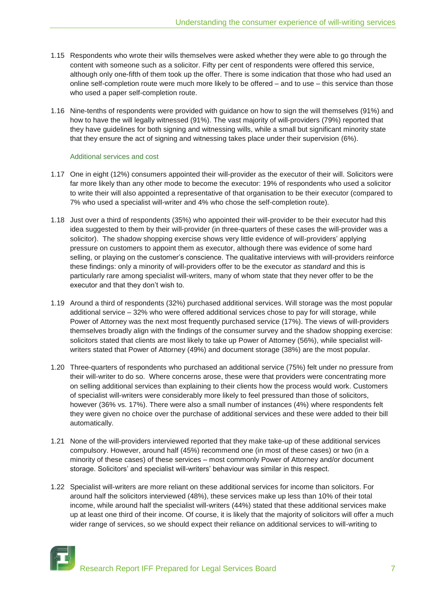- 1.15 Respondents who wrote their wills themselves were asked whether they were able to go through the content with someone such as a solicitor. Fifty per cent of respondents were offered this service, although only one-fifth of them took up the offer. There is some indication that those who had used an online self-completion route were much more likely to be offered – and to use – this service than those who used a paper self-completion route.
- 1.16 Nine-tenths of respondents were provided with guidance on how to sign the will themselves (91%) and how to have the will legally witnessed (91%). The vast majority of will-providers (79%) reported that they have guidelines for both signing and witnessing wills, while a small but significant minority state that they ensure the act of signing and witnessing takes place under their supervision (6%).

## Additional services and cost

- 1.17 One in eight (12%) consumers appointed their will-provider as the executor of their will. Solicitors were far more likely than any other mode to become the executor: 19% of respondents who used a solicitor to write their will also appointed a representative of that organisation to be their executor (compared to 7% who used a specialist will-writer and 4% who chose the self-completion route).
- 1.18 Just over a third of respondents (35%) who appointed their will-provider to be their executor had this idea suggested to them by their will-provider (in three-quarters of these cases the will-provider was a solicitor). The shadow shopping exercise shows very little evidence of will-providers" applying pressure on customers to appoint them as executor, although there was evidence of some hard selling, or playing on the customer's conscience. The qualitative interviews with will-providers reinforce these findings: only a minority of will-providers offer to be the executor *as standard* and this is particularly rare among specialist will-writers, many of whom state that they never offer to be the executor and that they don"t wish to.
- 1.19 Around a third of respondents (32%) purchased additional services. Will storage was the most popular additional service – 32% who were offered additional services chose to pay for will storage, while Power of Attorney was the next most frequently purchased service (17%). The views of will-providers themselves broadly align with the findings of the consumer survey and the shadow shopping exercise: solicitors stated that clients are most likely to take up Power of Attorney (56%), while specialist willwriters stated that Power of Attorney (49%) and document storage (38%) are the most popular.
- 1.20 Three-quarters of respondents who purchased an additional service (75%) felt under no pressure from their will-writer to do so. Where concerns arose, these were that providers were concentrating more on selling additional services than explaining to their clients how the process would work. Customers of specialist will-writers were considerably more likely to feel pressured than those of solicitors, however (36% vs. 17%). There were also a small number of instances (4%) where respondents felt they were given no choice over the purchase of additional services and these were added to their bill automatically.
- 1.21 None of the will-providers interviewed reported that they make take-up of these additional services compulsory. However, around half (45%) recommend one (in most of these cases) or two (in a minority of these cases) of these services – most commonly Power of Attorney and/or document storage. Solicitors" and specialist will-writers" behaviour was similar in this respect.
- 1.22 Specialist will-writers are more reliant on these additional services for income than solicitors. For around half the solicitors interviewed (48%), these services make up less than 10% of their total income, while around half the specialist will-writers (44%) stated that these additional services make up at least one third of their income. Of course, it is likely that the majority of solicitors will offer a much wider range of services, so we should expect their reliance on additional services to will-writing to

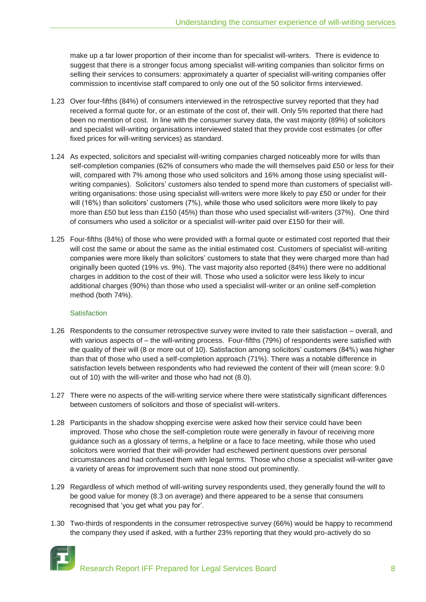make up a far lower proportion of their income than for specialist will-writers. There is evidence to suggest that there is a stronger focus among specialist will-writing companies than solicitor firms on selling their services to consumers: approximately a quarter of specialist will-writing companies offer commission to incentivise staff compared to only one out of the 50 solicitor firms interviewed.

- 1.23 Over four-fifths (84%) of consumers interviewed in the retrospective survey reported that they had received a formal quote for, or an estimate of the cost of, their will. Only 5% reported that there had been no mention of cost. In line with the consumer survey data, the vast majority (89%) of solicitors and specialist will-writing organisations interviewed stated that they provide cost estimates (or offer fixed prices for will-writing services) as standard.
- 1.24 As expected, solicitors and specialist will-writing companies charged noticeably more for wills than self-completion companies (62% of consumers who made the will themselves paid £50 or less for their will, compared with 7% among those who used solicitors and 16% among those using specialist willwriting companies). Solicitors' customers also tended to spend more than customers of specialist willwriting organisations: those using specialist will-writers were more likely to pay £50 or under for their will (16%) than solicitors' customers (7%), while those who used solicitors were more likely to pay more than £50 but less than £150 (45%) than those who used specialist will-writers (37%). One third of consumers who used a solicitor or a specialist will-writer paid over £150 for their will.
- 1.25 Four-fifths (84%) of those who were provided with a formal quote or estimated cost reported that their will cost the same or about the same as the initial estimated cost. Customers of specialist will-writing companies were more likely than solicitors" customers to state that they were charged more than had originally been quoted (19% vs. 9%). The vast majority also reported (84%) there were no additional charges in addition to the cost of their will. Those who used a solicitor were less likely to incur additional charges (90%) than those who used a specialist will-writer or an online self-completion method (both 74%).

## **Satisfaction**

- 1.26 Respondents to the consumer retrospective survey were invited to rate their satisfaction overall, and with various aspects of – the will-writing process. Four-fifths (79%) of respondents were satisfied with the quality of their will (8 or more out of 10). Satisfaction among solicitors" customers (84%) was higher than that of those who used a self-completion approach (71%). There was a notable difference in satisfaction levels between respondents who had reviewed the content of their will (mean score: 9.0 out of 10) with the will-writer and those who had not (8.0).
- 1.27 There were no aspects of the will-writing service where there were statistically significant differences between customers of solicitors and those of specialist will-writers.
- 1.28 Participants in the shadow shopping exercise were asked how their service could have been improved. Those who chose the self-completion route were generally in favour of receiving more guidance such as a glossary of terms, a helpline or a face to face meeting, while those who used solicitors were worried that their will-provider had eschewed pertinent questions over personal circumstances and had confused them with legal terms. Those who chose a specialist will-writer gave a variety of areas for improvement such that none stood out prominently.
- 1.29 Regardless of which method of will-writing survey respondents used, they generally found the will to be good value for money (8.3 on average) and there appeared to be a sense that consumers recognised that "you get what you pay for".
- 1.30 Two-thirds of respondents in the consumer retrospective survey (66%) would be happy to recommend the company they used if asked, with a further 23% reporting that they would pro-actively do so

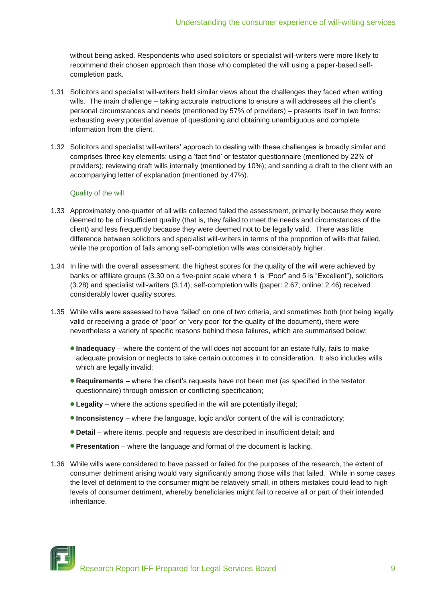without being asked. Respondents who used solicitors or specialist will-writers were more likely to recommend their chosen approach than those who completed the will using a paper-based selfcompletion pack.

- 1.31 Solicitors and specialist will-writers held similar views about the challenges they faced when writing wills. The main challenge – taking accurate instructions to ensure a will addresses all the client's personal circumstances and needs (mentioned by 57% of providers) – presents itself in two forms: exhausting every potential avenue of questioning and obtaining unambiguous and complete information from the client.
- 1.32 Solicitors and specialist will-writers" approach to dealing with these challenges is broadly similar and comprises three key elements: using a "fact find" or testator questionnaire (mentioned by 22% of providers); reviewing draft wills internally (mentioned by 10%); and sending a draft to the client with an accompanying letter of explanation (mentioned by 47%).

## Quality of the will

- 1.33 Approximately one-quarter of all wills collected failed the assessment, primarily because they were deemed to be of insufficient quality (that is, they failed to meet the needs and circumstances of the client) and less frequently because they were deemed not to be legally valid. There was little difference between solicitors and specialist will-writers in terms of the proportion of wills that failed, while the proportion of fails among self-completion wills was considerably higher.
- 1.34 In line with the overall assessment, the highest scores for the quality of the will were achieved by banks or affiliate groups (3.30 on a five-point scale where 1 is "Poor" and 5 is "Excellent"), solicitors (3.28) and specialist will-writers (3.14); self-completion wills (paper: 2.67; online: 2.46) received considerably lower quality scores.
- 1.35 While wills were assessed to have "failed" on one of two criteria, and sometimes both (not being legally valid or receiving a grade of "poor" or "very poor" for the quality of the document), there were nevertheless a variety of specific reasons behind these failures, which are summarised below:
	- **Inadequacy** where the content of the will does not account for an estate fully, fails to make adequate provision or neglects to take certain outcomes in to consideration. It also includes wills which are legally invalid;
	- **Requirements** where the client"s requests have not been met (as specified in the testator questionnaire) through omission or conflicting specification;
	- **Legality** where the actions specified in the will are potentially illegal;
	- **Inconsistency** where the language, logic and/or content of the will is contradictory;
	- **Detail** where items, people and requests are described in insufficient detail; and
	- **Presentation** where the language and format of the document is lacking.
- 1.36 While wills were considered to have passed or failed for the purposes of the research, the extent of consumer detriment arising would vary significantly among those wills that failed. While in some cases the level of detriment to the consumer might be relatively small, in others mistakes could lead to high levels of consumer detriment, whereby beneficiaries might fail to receive all or part of their intended inheritance.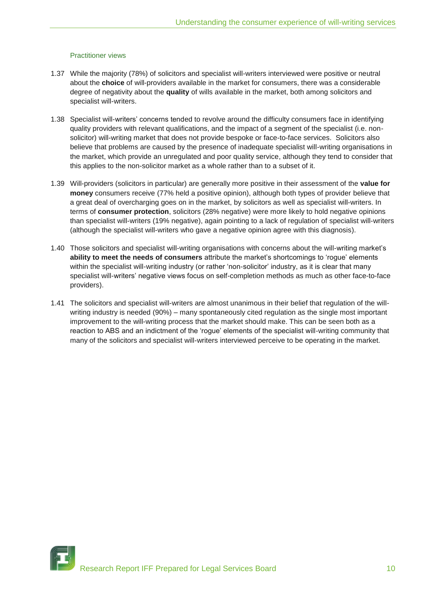## Practitioner views

- 1.37 While the majority (78%) of solicitors and specialist will-writers interviewed were positive or neutral about the **choice** of will-providers available in the market for consumers, there was a considerable degree of negativity about the **quality** of wills available in the market, both among solicitors and specialist will-writers.
- 1.38 Specialist will-writers" concerns tended to revolve around the difficulty consumers face in identifying quality providers with relevant qualifications, and the impact of a segment of the specialist (i.e. nonsolicitor) will-writing market that does not provide bespoke or face-to-face services. Solicitors also believe that problems are caused by the presence of inadequate specialist will-writing organisations in the market, which provide an unregulated and poor quality service, although they tend to consider that this applies to the non-solicitor market as a whole rather than to a subset of it.
- 1.39 Will-providers (solicitors in particular) are generally more positive in their assessment of the **value for money** consumers receive (77% held a positive opinion), although both types of provider believe that a great deal of overcharging goes on in the market, by solicitors as well as specialist will-writers. In terms of **consumer protection**, solicitors (28% negative) were more likely to hold negative opinions than specialist will-writers (19% negative), again pointing to a lack of regulation of specialist will-writers (although the specialist will-writers who gave a negative opinion agree with this diagnosis).
- 1.40 Those solicitors and specialist will-writing organisations with concerns about the will-writing market"s ability to meet the needs of consumers attribute the market's shortcomings to 'rogue' elements within the specialist will-writing industry (or rather "non-solicitor" industry, as it is clear that many specialist will-writers" negative views focus on self-completion methods as much as other face-to-face providers).
- 1.41 The solicitors and specialist will-writers are almost unanimous in their belief that regulation of the willwriting industry is needed (90%) – many spontaneously cited regulation as the single most important improvement to the will-writing process that the market should make. This can be seen both as a reaction to ABS and an indictment of the "rogue" elements of the specialist will-writing community that many of the solicitors and specialist will-writers interviewed perceive to be operating in the market.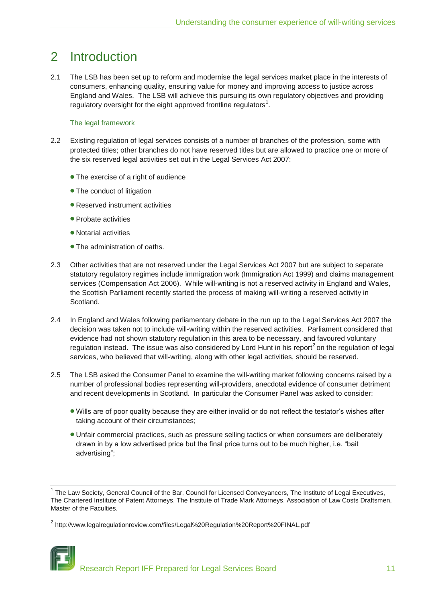## 2 Introduction

2.1 The LSB has been set up to reform and modernise the legal services market place in the interests of consumers, enhancing quality, ensuring value for money and improving access to justice across England and Wales. The LSB will achieve this pursuing its own regulatory objectives and providing regulatory oversight for the eight approved frontline regulators<sup>1</sup>.

## The legal framework

- 2.2 Existing regulation of legal services consists of a number of branches of the profession, some with protected titles; other branches do not have reserved titles but are allowed to practice one or more of the six reserved legal activities set out in the Legal Services Act 2007:
	- The exercise of a right of audience
	- The conduct of litigation
	- Reserved instrument activities
	- **Probate activities**
	- Notarial activities
	- The administration of oaths.
- 2.3 Other activities that are not reserved under the Legal Services Act 2007 but are subject to separate statutory regulatory regimes include immigration work (Immigration Act 1999) and claims management services (Compensation Act 2006). While will-writing is not a reserved activity in England and Wales, the Scottish Parliament recently started the process of making will-writing a reserved activity in Scotland.
- 2.4 In England and Wales following parliamentary debate in the run up to the Legal Services Act 2007 the decision was taken not to include will-writing within the reserved activities. Parliament considered that evidence had not shown statutory regulation in this area to be necessary, and favoured voluntary regulation instead. The issue was also considered by Lord Hunt in his report<sup>2</sup> on the regulation of legal services, who believed that will-writing, along with other legal activities, should be reserved.
- 2.5 The LSB asked the Consumer Panel to examine the will-writing market following concerns raised by a number of professional bodies representing will-providers, anecdotal evidence of consumer detriment and recent developments in Scotland. In particular the Consumer Panel was asked to consider:
	- Wills are of poor quality because they are either invalid or do not reflect the testator"s wishes after taking account of their circumstances;
	- Unfair commercial practices, such as pressure selling tactics or when consumers are deliberately drawn in by a low advertised price but the final price turns out to be much higher, i.e. "bait advertising";

<sup>&</sup>lt;sup>2</sup> http://www.legalregulationreview.com/files/Legal%20Regulation%20Report%20FINAL.pdf



<sup>&</sup>lt;sup>1</sup> The Law Society, General Council of the Bar, Council for Licensed Conveyancers, The Institute of Legal Executives, The Chartered Institute of Patent Attorneys, The Institute of Trade Mark Attorneys, Association of Law Costs Draftsmen, Master of the Faculties.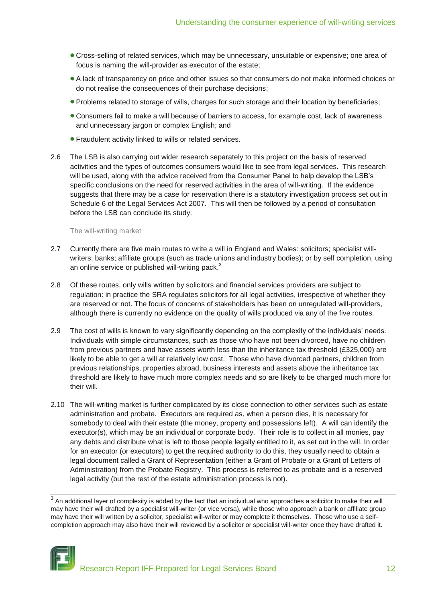- Cross-selling of related services, which may be unnecessary, unsuitable or expensive; one area of focus is naming the will-provider as executor of the estate;
- A lack of transparency on price and other issues so that consumers do not make informed choices or do not realise the consequences of their purchase decisions;
- Problems related to storage of wills, charges for such storage and their location by beneficiaries;
- Consumers fail to make a will because of barriers to access, for example cost, lack of awareness and unnecessary jargon or complex English; and
- Fraudulent activity linked to wills or related services.
- 2.6 The LSB is also carrying out wider research separately to this project on the basis of reserved activities and the types of outcomes consumers would like to see from legal services. This research will be used, along with the advice received from the Consumer Panel to help develop the LSB"s specific conclusions on the need for reserved activities in the area of will-writing. If the evidence suggests that there may be a case for reservation there is a statutory investigation process set out in Schedule 6 of the Legal Services Act 2007. This will then be followed by a period of consultation before the LSB can conclude its study.

The will-writing market

- 2.7 Currently there are five main routes to write a will in England and Wales: solicitors; specialist willwriters; banks; affiliate groups (such as trade unions and industry bodies); or by self completion, using an online service or published will-writing pack.<sup>3</sup>
- 2.8 Of these routes, only wills written by solicitors and financial services providers are subject to regulation: in practice the SRA regulates solicitors for all legal activities, irrespective of whether they are reserved or not. The focus of concerns of stakeholders has been on unregulated will-providers, although there is currently no evidence on the quality of wills produced via any of the five routes.
- 2.9 The cost of wills is known to vary significantly depending on the complexity of the individuals" needs. Individuals with simple circumstances, such as those who have not been divorced, have no children from previous partners and have assets worth less than the inheritance tax threshold (£325,000) are likely to be able to get a will at relatively low cost. Those who have divorced partners, children from previous relationships, properties abroad, business interests and assets above the inheritance tax threshold are likely to have much more complex needs and so are likely to be charged much more for their will.
- 2.10 The will-writing market is further complicated by its close connection to other services such as estate administration and probate. Executors are required as, when a person dies, it is necessary for somebody to deal with their estate (the money, property and possessions left). A will can identify the executor(s), which may be an individual or corporate body. Their role is to collect in all monies, pay any debts and distribute what is left to those people legally entitled to it, as set out in the will. In order for an executor (or executors) to get the required authority to do this, they usually need to obtain a legal document called a Grant of Representation (either a Grant of Probate or a Grant of Letters of Administration) from the Probate Registry. This process is referred to as probate and is a reserved legal activity (but the rest of the estate administration process is not).

 $^3$  An additional layer of complexity is added by the fact that an individual who approaches a solicitor to make their will may have their will drafted by a specialist will-writer (or vice versa), while those who approach a bank or affiliate group may have their will written by a solicitor, specialist will-writer or may complete it themselves. Those who use a selfcompletion approach may also have their will reviewed by a solicitor or specialist will-writer once they have drafted it.

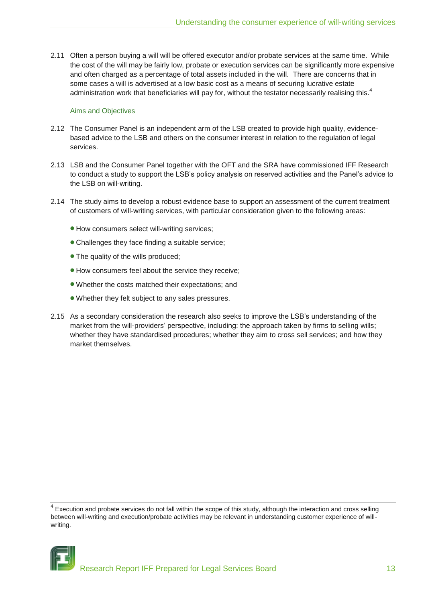2.11 Often a person buying a will will be offered executor and/or probate services at the same time. While the cost of the will may be fairly low, probate or execution services can be significantly more expensive and often charged as a percentage of total assets included in the will. There are concerns that in some cases a will is advertised at a low basic cost as a means of securing lucrative estate administration work that beneficiaries will pay for, without the testator necessarily realising this.<sup>4</sup>

#### Aims and Objectives

- 2.12 The Consumer Panel is an independent arm of the LSB created to provide high quality, evidencebased advice to the LSB and others on the consumer interest in relation to the regulation of legal services.
- 2.13 LSB and the Consumer Panel together with the OFT and the SRA have commissioned IFF Research to conduct a study to support the LSB"s policy analysis on reserved activities and the Panel"s advice to the LSB on will-writing.
- 2.14 The study aims to develop a robust evidence base to support an assessment of the current treatment of customers of will-writing services, with particular consideration given to the following areas:
	- How consumers select will-writing services;
	- Challenges they face finding a suitable service;
	- The quality of the wills produced:
	- How consumers feel about the service they receive;
	- Whether the costs matched their expectations; and
	- Whether they felt subject to any sales pressures.
- 2.15 As a secondary consideration the research also seeks to improve the LSB"s understanding of the market from the will-providers' perspective, including: the approach taken by firms to selling wills; whether they have standardised procedures; whether they aim to cross sell services; and how they market themselves.

 $4$  Execution and probate services do not fall within the scope of this study, although the interaction and cross selling between will-writing and execution/probate activities may be relevant in understanding customer experience of willwriting.

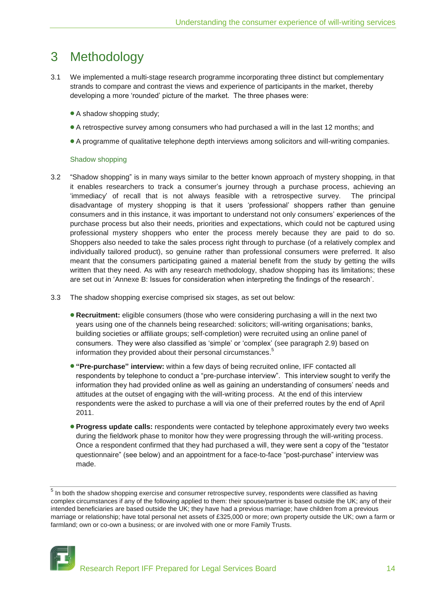## 3 Methodology

- 3.1 We implemented a multi-stage research programme incorporating three distinct but complementary strands to compare and contrast the views and experience of participants in the market, thereby developing a more "rounded" picture of the market. The three phases were:
	- A shadow shopping study;
	- A retrospective survey among consumers who had purchased a will in the last 12 months; and
	- A programme of qualitative telephone depth interviews among solicitors and will-writing companies.

#### Shadow shopping

- 3.2 "Shadow shopping" is in many ways similar to the better known approach of mystery shopping, in that it enables researchers to track a consumer"s journey through a purchase process, achieving an "immediacy" of recall that is not always feasible with a retrospective survey. The principal disadvantage of mystery shopping is that it users "professional" shoppers rather than genuine consumers and in this instance, it was important to understand not only consumers" experiences of the purchase process but also their needs, priorities and expectations, which could not be captured using professional mystery shoppers who enter the process merely because they are paid to do so. Shoppers also needed to take the sales process right through to purchase (of a relatively complex and individually tailored product), so genuine rather than professional consumers were preferred. It also meant that the consumers participating gained a material benefit from the study by getting the wills written that they need. As with any research methodology, shadow shopping has its limitations; these are set out in "Annexe B: Issues for consideration when interpreting the findings of the research".
- 3.3 The shadow shopping exercise comprised six stages, as set out below:
	- **Recruitment:** eligible consumers (those who were considering purchasing a will in the next two years using one of the channels being researched: solicitors; will-writing organisations; banks, building societies or affiliate groups; self-completion) were recruited using an online panel of consumers. They were also classified as "simple" or "complex" (see paragraph 2.9) based on information they provided about their personal circumstances.<sup>5</sup>
	- **"Pre-purchase" interview:** within a few days of being recruited online, IFF contacted all respondents by telephone to conduct a "pre-purchase interview". This interview sought to verify the information they had provided online as well as gaining an understanding of consumers" needs and attitudes at the outset of engaging with the will-writing process. At the end of this interview respondents were the asked to purchase a will via one of their preferred routes by the end of April 2011.
	- **Progress update calls:** respondents were contacted by telephone approximately every two weeks during the fieldwork phase to monitor how they were progressing through the will-writing process. Once a respondent confirmed that they had purchased a will, they were sent a copy of the "testator questionnaire" (see below) and an appointment for a face-to-face "post-purchase" interview was made.

 $<sup>5</sup>$  In both the shadow shopping exercise and consumer retrospective survey, respondents were classified as having</sup> complex circumstances if any of the following applied to them: their spouse/partner is based outside the UK; any of their intended beneficiaries are based outside the UK; they have had a previous marriage; have children from a previous marriage or relationship; have total personal net assets of £325,000 or more; own property outside the UK; own a farm or farmland; own or co-own a business; or are involved with one or more Family Trusts.

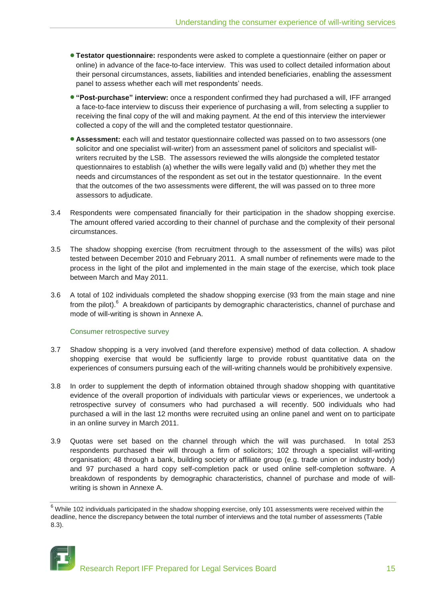- **Testator questionnaire:** respondents were asked to complete a questionnaire (either on paper or online) in advance of the face-to-face interview. This was used to collect detailed information about their personal circumstances, assets, liabilities and intended beneficiaries, enabling the assessment panel to assess whether each will met respondents' needs.
- **"Post-purchase" interview:** once a respondent confirmed they had purchased a will, IFF arranged a face-to-face interview to discuss their experience of purchasing a will, from selecting a supplier to receiving the final copy of the will and making payment. At the end of this interview the interviewer collected a copy of the will and the completed testator questionnaire.
- **Assessment:** each will and testator questionnaire collected was passed on to two assessors (one solicitor and one specialist will-writer) from an assessment panel of solicitors and specialist willwriters recruited by the LSB. The assessors reviewed the wills alongside the completed testator questionnaires to establish (a) whether the wills were legally valid and (b) whether they met the needs and circumstances of the respondent as set out in the testator questionnaire. In the event that the outcomes of the two assessments were different, the will was passed on to three more assessors to adjudicate.
- 3.4 Respondents were compensated financially for their participation in the shadow shopping exercise. The amount offered varied according to their channel of purchase and the complexity of their personal circumstances.
- 3.5 The shadow shopping exercise (from recruitment through to the assessment of the wills) was pilot tested between December 2010 and February 2011. A small number of refinements were made to the process in the light of the pilot and implemented in the main stage of the exercise, which took place between March and May 2011.
- 3.6 A total of 102 individuals completed the shadow shopping exercise (93 from the main stage and nine from the pilot).<sup>6</sup> A breakdown of participants by demographic characteristics, channel of purchase and mode of will-writing is shown in Annexe A.

## Consumer retrospective survey

- 3.7 Shadow shopping is a very involved (and therefore expensive) method of data collection. A shadow shopping exercise that would be sufficiently large to provide robust quantitative data on the experiences of consumers pursuing each of the will-writing channels would be prohibitively expensive.
- 3.8 In order to supplement the depth of information obtained through shadow shopping with quantitative evidence of the overall proportion of individuals with particular views or experiences, we undertook a retrospective survey of consumers who had purchased a will recently. 500 individuals who had purchased a will in the last 12 months were recruited using an online panel and went on to participate in an online survey in March 2011.
- 3.9 Quotas were set based on the channel through which the will was purchased. In total 253 respondents purchased their will through a firm of solicitors; 102 through a specialist will-writing organisation; 48 through a bank, building society or affiliate group (e.g. trade union or industry body) and 97 purchased a hard copy self-completion pack or used online self-completion software. A breakdown of respondents by demographic characteristics, channel of purchase and mode of willwriting is shown in Annexe A.

 $6$  While 102 individuals participated in the shadow shopping exercise, only 101 assessments were received within the deadline, hence the discrepancy between the total number of interviews and the total number of assessments (Table 8.3).

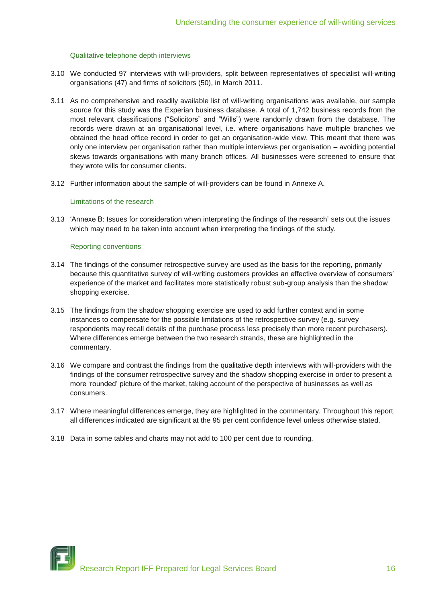## Qualitative telephone depth interviews

- 3.10 We conducted 97 interviews with will-providers, split between representatives of specialist will-writing organisations (47) and firms of solicitors (50), in March 2011.
- 3.11 As no comprehensive and readily available list of will-writing organisations was available, our sample source for this study was the Experian business database. A total of 1,742 business records from the most relevant classifications ("Solicitors" and "Wills") were randomly drawn from the database. The records were drawn at an organisational level, i.e. where organisations have multiple branches we obtained the head office record in order to get an organisation-wide view. This meant that there was only one interview per organisation rather than multiple interviews per organisation – avoiding potential skews towards organisations with many branch offices. All businesses were screened to ensure that they wrote wills for consumer clients.
- 3.12 Further information about the sample of will-providers can be found in Annexe A.

## Limitations of the research

3.13 "Annexe B: Issues for consideration when interpreting the findings of the research" sets out the issues which may need to be taken into account when interpreting the findings of the study.

## Reporting conventions

- 3.14 The findings of the consumer retrospective survey are used as the basis for the reporting, primarily because this quantitative survey of will-writing customers provides an effective overview of consumers" experience of the market and facilitates more statistically robust sub-group analysis than the shadow shopping exercise.
- 3.15 The findings from the shadow shopping exercise are used to add further context and in some instances to compensate for the possible limitations of the retrospective survey (e.g. survey respondents may recall details of the purchase process less precisely than more recent purchasers). Where differences emerge between the two research strands, these are highlighted in the commentary.
- 3.16 We compare and contrast the findings from the qualitative depth interviews with will-providers with the findings of the consumer retrospective survey and the shadow shopping exercise in order to present a more "rounded" picture of the market, taking account of the perspective of businesses as well as consumers.
- 3.17 Where meaningful differences emerge, they are highlighted in the commentary. Throughout this report, all differences indicated are significant at the 95 per cent confidence level unless otherwise stated.
- 3.18 Data in some tables and charts may not add to 100 per cent due to rounding.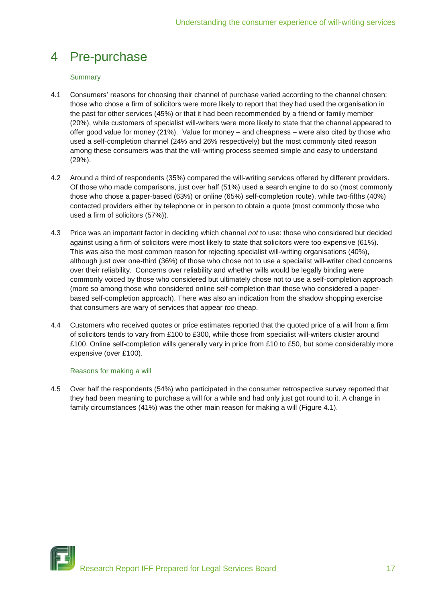## 4 Pre-purchase

## **Summary**

- 4.1 Consumers" reasons for choosing their channel of purchase varied according to the channel chosen: those who chose a firm of solicitors were more likely to report that they had used the organisation in the past for other services (45%) or that it had been recommended by a friend or family member (20%), while customers of specialist will-writers were more likely to state that the channel appeared to offer good value for money (21%). Value for money – and cheapness – were also cited by those who used a self-completion channel (24% and 26% respectively) but the most commonly cited reason among these consumers was that the will-writing process seemed simple and easy to understand (29%).
- 4.2 Around a third of respondents (35%) compared the will-writing services offered by different providers. Of those who made comparisons, just over half (51%) used a search engine to do so (most commonly those who chose a paper-based (63%) or online (65%) self-completion route), while two-fifths (40%) contacted providers either by telephone or in person to obtain a quote (most commonly those who used a firm of solicitors (57%)).
- 4.3 Price was an important factor in deciding which channel *not* to use: those who considered but decided against using a firm of solicitors were most likely to state that solicitors were too expensive (61%). This was also the most common reason for rejecting specialist will-writing organisations (40%), although just over one-third (36%) of those who chose not to use a specialist will-writer cited concerns over their reliability. Concerns over reliability and whether wills would be legally binding were commonly voiced by those who considered but ultimately chose not to use a self-completion approach (more so among those who considered online self-completion than those who considered a paperbased self-completion approach). There was also an indication from the shadow shopping exercise that consumers are wary of services that appear *too* cheap.
- 4.4 Customers who received quotes or price estimates reported that the quoted price of a will from a firm of solicitors tends to vary from £100 to £300, while those from specialist will-writers cluster around £100. Online self-completion wills generally vary in price from £10 to £50, but some considerably more expensive (over £100).

## Reasons for making a will

4.5 Over half the respondents (54%) who participated in the consumer retrospective survey reported that they had been meaning to purchase a will for a while and had only just got round to it. A change in family circumstances (41%) was the other main reason for making a will (Figure 4.1).

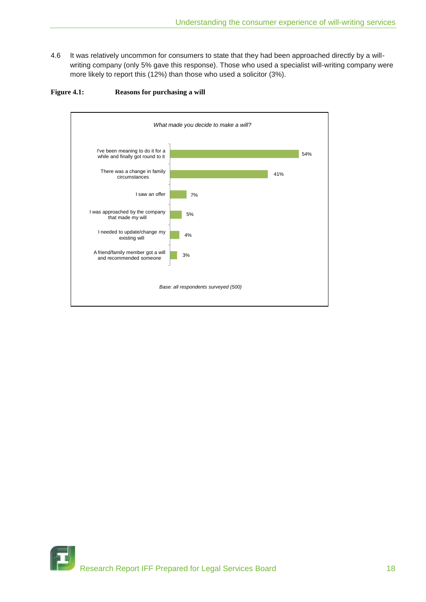4.6 It was relatively uncommon for consumers to state that they had been approached directly by a willwriting company (only 5% gave this response). Those who used a specialist will-writing company were more likely to report this (12%) than those who used a solicitor (3%).





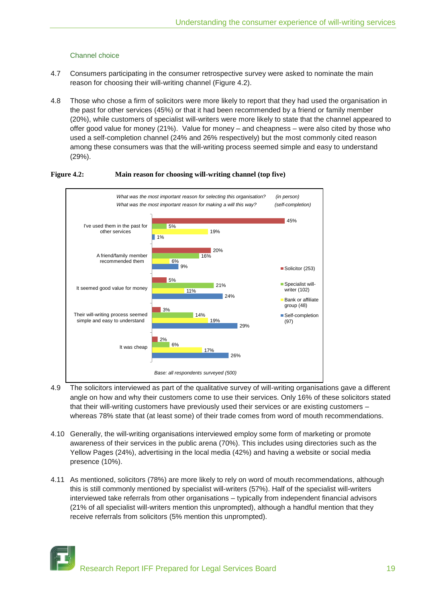## Channel choice

- 4.7 Consumers participating in the consumer retrospective survey were asked to nominate the main reason for choosing their will-writing channel (Figure 4.2).
- 4.8 Those who chose a firm of solicitors were more likely to report that they had used the organisation in the past for other services (45%) or that it had been recommended by a friend or family member (20%), while customers of specialist will-writers were more likely to state that the channel appeared to offer good value for money (21%). Value for money – and cheapness – were also cited by those who used a self-completion channel (24% and 26% respectively) but the most commonly cited reason among these consumers was that the will-writing process seemed simple and easy to understand (29%).



## **Figure 4.2: Main reason for choosing will-writing channel (top five)**

- 4.9 The solicitors interviewed as part of the qualitative survey of will-writing organisations gave a different angle on how and why their customers come to use their services. Only 16% of these solicitors stated that their will-writing customers have previously used their services or are existing customers – whereas 78% state that (at least some) of their trade comes from word of mouth recommendations.
- 4.10 Generally, the will-writing organisations interviewed employ some form of marketing or promote awareness of their services in the public arena (70%). This includes using directories such as the Yellow Pages (24%), advertising in the local media (42%) and having a website or social media presence (10%).
- 4.11 As mentioned, solicitors (78%) are more likely to rely on word of mouth recommendations, although this is still commonly mentioned by specialist will-writers (57%). Half of the specialist will-writers interviewed take referrals from other organisations – typically from independent financial advisors (21% of all specialist will-writers mention this unprompted), although a handful mention that they receive referrals from solicitors (5% mention this unprompted).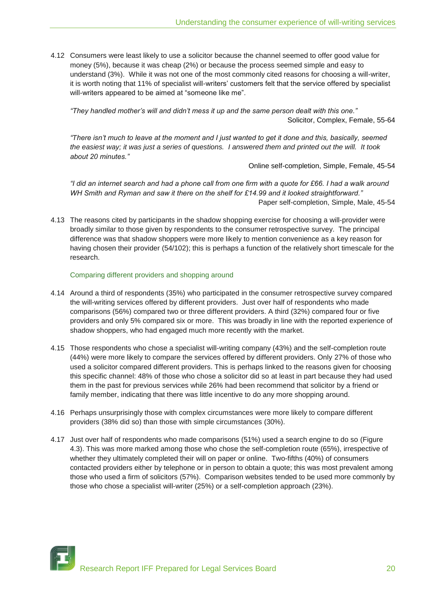4.12 Consumers were least likely to use a solicitor because the channel seemed to offer good value for money (5%), because it was cheap (2%) or because the process seemed simple and easy to understand (3%). While it was not one of the most commonly cited reasons for choosing a will-writer, it is worth noting that 11% of specialist will-writers" customers felt that the service offered by specialist will-writers appeared to be aimed at "someone like me".

*"They handled mother"s will and didn"t mess it up and the same person dealt with this one."* Solicitor, Complex, Female, 55-64

*"There isn"t much to leave at the moment and I just wanted to get it done and this, basically, seemed the easiest way; it was just a series of questions. I answered them and printed out the will. It took about 20 minutes."*

Online self-completion, Simple, Female, 45-54

*"I did an internet search and had a phone call from one firm with a quote for £66. I had a walk around WH Smith and Ryman and saw it there on the shelf for £14.99 and it looked straightforward."* Paper self-completion, Simple, Male, 45-54

4.13 The reasons cited by participants in the shadow shopping exercise for choosing a will-provider were broadly similar to those given by respondents to the consumer retrospective survey. The principal difference was that shadow shoppers were more likely to mention convenience as a key reason for having chosen their provider (54/102); this is perhaps a function of the relatively short timescale for the research.

Comparing different providers and shopping around

- 4.14 Around a third of respondents (35%) who participated in the consumer retrospective survey compared the will-writing services offered by different providers. Just over half of respondents who made comparisons (56%) compared two or three different providers. A third (32%) compared four or five providers and only 5% compared six or more. This was broadly in line with the reported experience of shadow shoppers, who had engaged much more recently with the market.
- 4.15 Those respondents who chose a specialist will-writing company (43%) and the self-completion route (44%) were more likely to compare the services offered by different providers. Only 27% of those who used a solicitor compared different providers. This is perhaps linked to the reasons given for choosing this specific channel: 48% of those who chose a solicitor did so at least in part because they had used them in the past for previous services while 26% had been recommend that solicitor by a friend or family member, indicating that there was little incentive to do any more shopping around.
- 4.16 Perhaps unsurprisingly those with complex circumstances were more likely to compare different providers (38% did so) than those with simple circumstances (30%).
- 4.17 Just over half of respondents who made comparisons (51%) used a search engine to do so (Figure 4.3). This was more marked among those who chose the self-completion route (65%), irrespective of whether they ultimately completed their will on paper or online. Two-fifths (40%) of consumers contacted providers either by telephone or in person to obtain a quote; this was most prevalent among those who used a firm of solicitors (57%). Comparison websites tended to be used more commonly by those who chose a specialist will-writer (25%) or a self-completion approach (23%).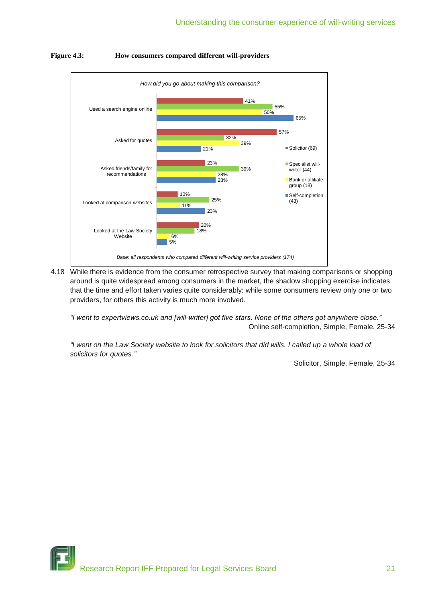

## **Figure 4.3: How consumers compared different will-providers**

4.18 While there is evidence from the consumer retrospective survey that making comparisons or shopping around is quite widespread among consumers in the market, the shadow shopping exercise indicates that the time and effort taken varies quite considerably: while some consumers review only one or two providers, for others this activity is much more involved.

*"I went to expertviews.co.uk and [will-writer] got five stars. None of the others got anywhere close."* Online self-completion, Simple, Female, 25-34

*"I went on the Law Society website to look for solicitors that did wills. I called up a whole load of solicitors for quotes."*

Solicitor, Simple, Female, 25-34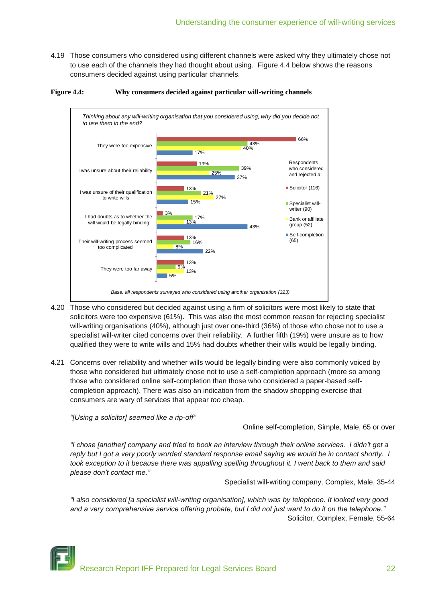4.19 Those consumers who considered using different channels were asked why they ultimately chose not to use each of the channels they had thought about using. Figure 4.4 below shows the reasons consumers decided against using particular channels.



#### **Figure 4.4: Why consumers decided against particular will-writing channels**

- 4.20 Those who considered but decided against using a firm of solicitors were most likely to state that solicitors were too expensive (61%). This was also the most common reason for rejecting specialist will-writing organisations (40%), although just over one-third (36%) of those who chose not to use a specialist will-writer cited concerns over their reliability. A further fifth (19%) were unsure as to how qualified they were to write wills and 15% had doubts whether their wills would be legally binding.
- 4.21 Concerns over reliability and whether wills would be legally binding were also commonly voiced by those who considered but ultimately chose not to use a self-completion approach (more so among those who considered online self-completion than those who considered a paper-based selfcompletion approach). There was also an indication from the shadow shopping exercise that consumers are wary of services that appear *too* cheap.

*"[Using a solicitor] seemed like a rip-off"*

Online self-completion, Simple, Male, 65 or over

*"I chose [another] company and tried to book an interview through their online services. I didn"t get a reply but I got a very poorly worded standard response email saying we would be in contact shortly. I took exception to it because there was appalling spelling throughout it. I went back to them and said please don"t contact me."*

Specialist will-writing company, Complex, Male, 35-44

*"I also considered [a specialist will-writing organisation], which was by telephone. It looked very good and a very comprehensive service offering probate, but I did not just want to do it on the telephone."* Solicitor, Complex, Female, 55-64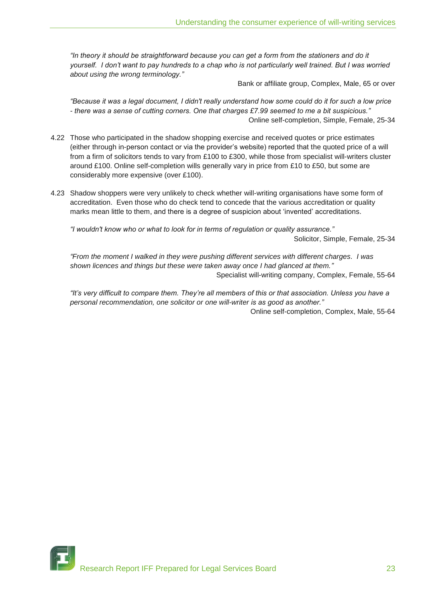*"In theory it should be straightforward because you can get a form from the stationers and do it yourself. I don"t want to pay hundreds to a chap who is not particularly well trained. But I was worried about using the wrong terminology."*

Bank or affiliate group, Complex, Male, 65 or over

*"Because it was a legal document, I didn't really understand how some could do it for such a low price - there was a sense of cutting corners. One that charges £7.99 seemed to me a bit suspicious."* Online self-completion, Simple, Female, 25-34

- 4.22 Those who participated in the shadow shopping exercise and received quotes or price estimates (either through in-person contact or via the provider"s website) reported that the quoted price of a will from a firm of solicitors tends to vary from £100 to £300, while those from specialist will-writers cluster around £100. Online self-completion wills generally vary in price from £10 to £50, but some are considerably more expensive (over £100).
- 4.23 Shadow shoppers were very unlikely to check whether will-writing organisations have some form of accreditation. Even those who do check tend to concede that the various accreditation or quality marks mean little to them, and there is a degree of suspicion about "invented" accreditations.

*"I wouldn't know who or what to look for in terms of regulation or quality assurance."*

Solicitor, Simple, Female, 25-34

*"From the moment I walked in they were pushing different services with different charges. I was shown licences and things but these were taken away once I had glanced at them."* Specialist will-writing company, Complex, Female, 55-64

*"It"s very difficult to compare them. They"re all members of this or that association. Unless you have a personal recommendation, one solicitor or one will-writer is as good as another."*

Online self-completion, Complex, Male, 55-64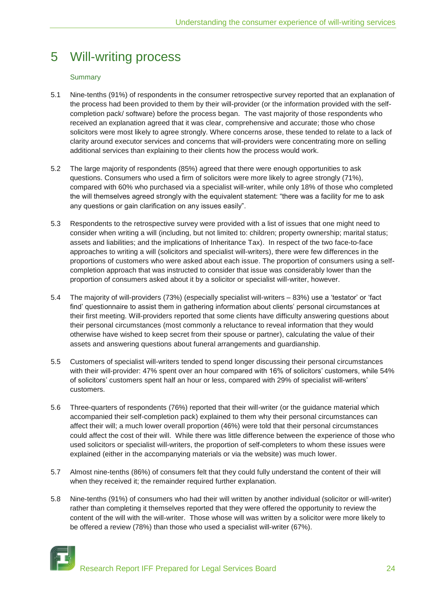## 5 Will-writing process

## **Summary**

- 5.1 Nine-tenths (91%) of respondents in the consumer retrospective survey reported that an explanation of the process had been provided to them by their will-provider (or the information provided with the selfcompletion pack/ software) before the process began. The vast majority of those respondents who received an explanation agreed that it was clear, comprehensive and accurate; those who chose solicitors were most likely to agree strongly. Where concerns arose, these tended to relate to a lack of clarity around executor services and concerns that will-providers were concentrating more on selling additional services than explaining to their clients how the process would work.
- 5.2 The large majority of respondents (85%) agreed that there were enough opportunities to ask questions. Consumers who used a firm of solicitors were more likely to agree strongly (71%), compared with 60% who purchased via a specialist will-writer, while only 18% of those who completed the will themselves agreed strongly with the equivalent statement: "there was a facility for me to ask any questions or gain clarification on any issues easily".
- 5.3 Respondents to the retrospective survey were provided with a list of issues that one might need to consider when writing a will (including, but not limited to: children; property ownership; marital status; assets and liabilities; and the implications of Inheritance Tax). In respect of the two face-to-face approaches to writing a will (solicitors and specialist will-writers), there were few differences in the proportions of customers who were asked about each issue. The proportion of consumers using a selfcompletion approach that was instructed to consider that issue was considerably lower than the proportion of consumers asked about it by a solicitor or specialist will-writer, however.
- 5.4 The majority of will-providers (73%) (especially specialist will-writers 83%) use a "testator" or "fact find" questionnaire to assist them in gathering information about clients" personal circumstances at their first meeting. Will-providers reported that some clients have difficulty answering questions about their personal circumstances (most commonly a reluctance to reveal information that they would otherwise have wished to keep secret from their spouse or partner), calculating the value of their assets and answering questions about funeral arrangements and guardianship.
- 5.5 Customers of specialist will-writers tended to spend longer discussing their personal circumstances with their will-provider: 47% spent over an hour compared with 16% of solicitors' customers, while 54% of solicitors' customers spent half an hour or less, compared with 29% of specialist will-writers' customers.
- 5.6 Three-quarters of respondents (76%) reported that their will-writer (or the guidance material which accompanied their self-completion pack) explained to them why their personal circumstances can affect their will; a much lower overall proportion (46%) were told that their personal circumstances could affect the cost of their will. While there was little difference between the experience of those who used solicitors or specialist will-writers, the proportion of self-completers to whom these issues were explained (either in the accompanying materials or via the website) was much lower.
- 5.7 Almost nine-tenths (86%) of consumers felt that they could fully understand the content of their will when they received it; the remainder required further explanation.
- 5.8 Nine-tenths (91%) of consumers who had their will written by another individual (solicitor or will-writer) rather than completing it themselves reported that they were offered the opportunity to review the content of the will with the will-writer. Those whose will was written by a solicitor were more likely to be offered a review (78%) than those who used a specialist will-writer (67%).



Research Report IFF Prepared for Legal Services Board 24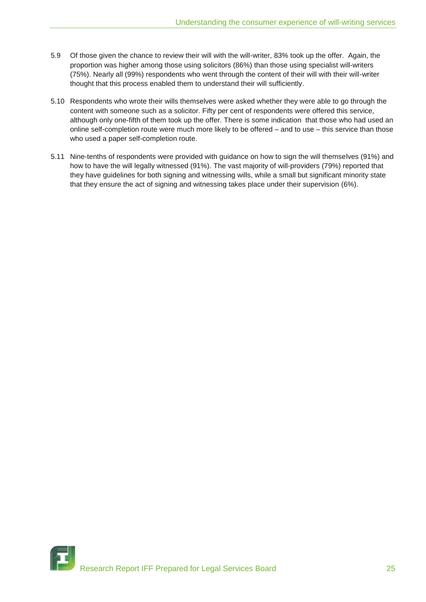- 5.9 Of those given the chance to review their will with the will-writer, 83% took up the offer. Again, the proportion was higher among those using solicitors (86%) than those using specialist will-writers (75%). Nearly all (99%) respondents who went through the content of their will with their will-writer thought that this process enabled them to understand their will sufficiently.
- 5.10 Respondents who wrote their wills themselves were asked whether they were able to go through the content with someone such as a solicitor. Fifty per cent of respondents were offered this service, although only one-fifth of them took up the offer. There is some indication that those who had used an online self-completion route were much more likely to be offered – and to use – this service than those who used a paper self-completion route.
- 5.11 Nine-tenths of respondents were provided with guidance on how to sign the will themselves (91%) and how to have the will legally witnessed (91%). The vast majority of will-providers (79%) reported that they have guidelines for both signing and witnessing wills, while a small but significant minority state that they ensure the act of signing and witnessing takes place under their supervision (6%).

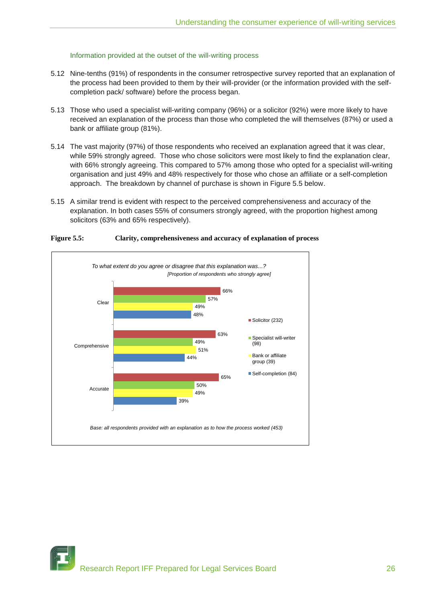## Information provided at the outset of the will-writing process

- 5.12 Nine-tenths (91%) of respondents in the consumer retrospective survey reported that an explanation of the process had been provided to them by their will-provider (or the information provided with the selfcompletion pack/ software) before the process began.
- 5.13 Those who used a specialist will-writing company (96%) or a solicitor (92%) were more likely to have received an explanation of the process than those who completed the will themselves (87%) or used a bank or affiliate group (81%).
- 5.14 The vast majority (97%) of those respondents who received an explanation agreed that it was clear, while 59% strongly agreed. Those who chose solicitors were most likely to find the explanation clear, with 66% strongly agreeing. This compared to 57% among those who opted for a specialist will-writing organisation and just 49% and 48% respectively for those who chose an affiliate or a self-completion approach. The breakdown by channel of purchase is shown in Figure 5.5 below.
- 5.15 A similar trend is evident with respect to the perceived comprehensiveness and accuracy of the explanation. In both cases 55% of consumers strongly agreed, with the proportion highest among solicitors (63% and 65% respectively).



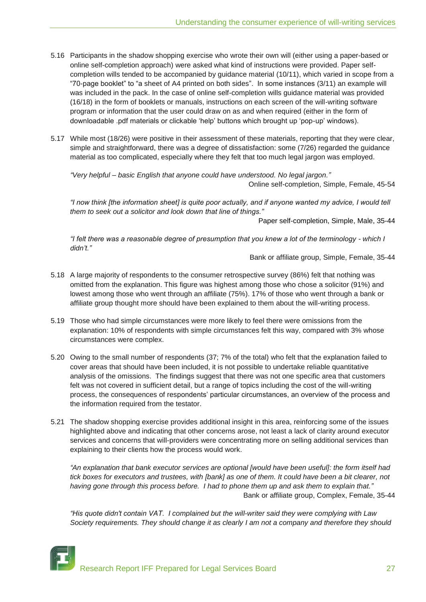- 5.16 Participants in the shadow shopping exercise who wrote their own will (either using a paper-based or online self-completion approach) were asked what kind of instructions were provided. Paper selfcompletion wills tended to be accompanied by guidance material (10/11), which varied in scope from a "70-page booklet" to "a sheet of A4 printed on both sides". In some instances (3/11) an example will was included in the pack. In the case of online self-completion wills guidance material was provided (16/18) in the form of booklets or manuals, instructions on each screen of the will-writing software program or information that the user could draw on as and when required (either in the form of downloadable .pdf materials or clickable "help" buttons which brought up "pop-up" windows).
- 5.17 While most (18/26) were positive in their assessment of these materials, reporting that they were clear, simple and straightforward, there was a degree of dissatisfaction: some (7/26) regarded the guidance material as too complicated, especially where they felt that too much legal jargon was employed.

*"Very helpful – basic English that anyone could have understood. No legal jargon."* Online self-completion, Simple, Female, 45-54

*"I now think [the information sheet] is quite poor actually, and if anyone wanted my advice, I would tell them to seek out a solicitor and look down that line of things."*

Paper self-completion, Simple, Male, 35-44

*"I felt there was a reasonable degree of presumption that you knew a lot of the terminology - which I didn"t."*

Bank or affiliate group, Simple, Female, 35-44

- 5.18 A large majority of respondents to the consumer retrospective survey (86%) felt that nothing was omitted from the explanation. This figure was highest among those who chose a solicitor (91%) and lowest among those who went through an affiliate (75%). 17% of those who went through a bank or affiliate group thought more should have been explained to them about the will-writing process.
- 5.19 Those who had simple circumstances were more likely to feel there were omissions from the explanation: 10% of respondents with simple circumstances felt this way, compared with 3% whose circumstances were complex.
- 5.20 Owing to the small number of respondents (37; 7% of the total) who felt that the explanation failed to cover areas that should have been included, it is not possible to undertake reliable quantitative analysis of the omissions. The findings suggest that there was not one specific area that customers felt was not covered in sufficient detail, but a range of topics including the cost of the will-writing process, the consequences of respondents" particular circumstances, an overview of the process and the information required from the testator.
- 5.21 The shadow shopping exercise provides additional insight in this area, reinforcing some of the issues highlighted above and indicating that other concerns arose, not least a lack of clarity around executor services and concerns that will-providers were concentrating more on selling additional services than explaining to their clients how the process would work.

*"An explanation that bank executor services are optional [would have been useful]: the form itself had tick boxes for executors and trustees, with [bank] as one of them. It could have been a bit clearer, not having gone through this process before. I had to phone them up and ask them to explain that."* Bank or affiliate group, Complex, Female, 35-44

*"His quote didn't contain VAT. I complained but the will-writer said they were complying with Law Society requirements. They should change it as clearly I am not a company and therefore they should*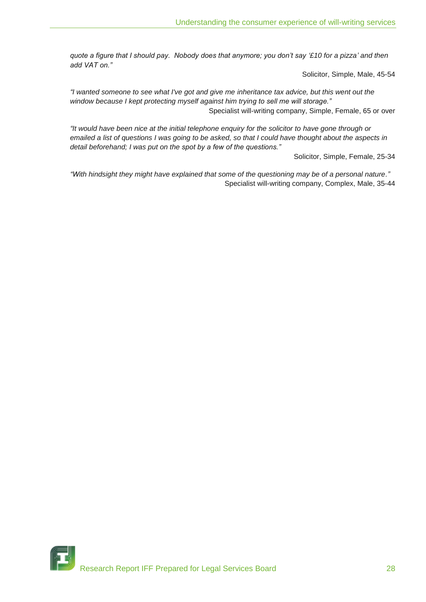*quote a figure that I should pay. Nobody does that anymore; you don"t say "£10 for a pizza" and then add VAT on."*

Solicitor, Simple, Male, 45-54

*"I wanted someone to see what I've got and give me inheritance tax advice, but this went out the window because I kept protecting myself against him trying to sell me will storage."* Specialist will-writing company, Simple, Female, 65 or over

*"It would have been nice at the initial telephone enquiry for the solicitor to have gone through or emailed a list of questions I was going to be asked, so that I could have thought about the aspects in detail beforehand; I was put on the spot by a few of the questions."*

Solicitor, Simple, Female, 25-34

*"With hindsight they might have explained that some of the questioning may be of a personal nature."* Specialist will-writing company, Complex, Male, 35-44

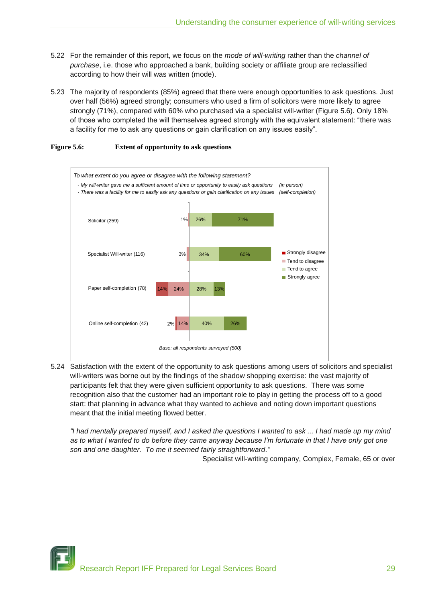- 5.22 For the remainder of this report, we focus on the *mode of will-writing* rather than the *channel of purchase*, i.e. those who approached a bank, building society or affiliate group are reclassified according to how their will was written (mode).
- 5.23 The majority of respondents (85%) agreed that there were enough opportunities to ask questions. Just over half (56%) agreed strongly; consumers who used a firm of solicitors were more likely to agree strongly (71%), compared with 60% who purchased via a specialist will-writer (Figure 5.6). Only 18% of those who completed the will themselves agreed strongly with the equivalent statement: "there was a facility for me to ask any questions or gain clarification on any issues easily".





5.24 Satisfaction with the extent of the opportunity to ask questions among users of solicitors and specialist will-writers was borne out by the findings of the shadow shopping exercise: the vast majority of participants felt that they were given sufficient opportunity to ask questions. There was some recognition also that the customer had an important role to play in getting the process off to a good start: that planning in advance what they wanted to achieve and noting down important questions meant that the initial meeting flowed better.

*"I had mentally prepared myself, and I asked the questions I wanted to ask ... I had made up my mind as to what I wanted to do before they came anyway because I"m fortunate in that I have only got one son and one daughter. To me it seemed fairly straightforward."*

Specialist will-writing company, Complex, Female, 65 or over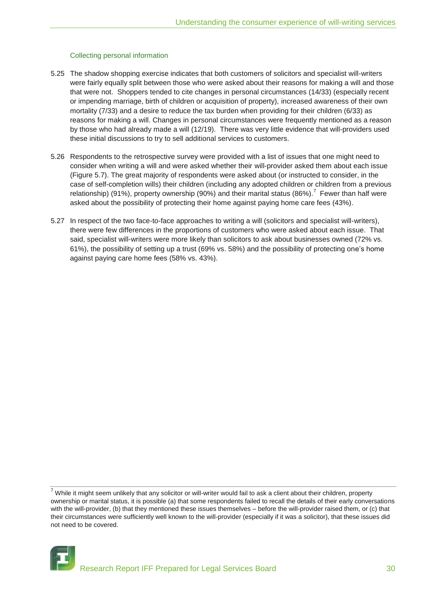## Collecting personal information

- 5.25 The shadow shopping exercise indicates that both customers of solicitors and specialist will-writers were fairly equally split between those who were asked about their reasons for making a will and those that were not. Shoppers tended to cite changes in personal circumstances (14/33) (especially recent or impending marriage, birth of children or acquisition of property), increased awareness of their own mortality (7/33) and a desire to reduce the tax burden when providing for their children (6/33) as reasons for making a will. Changes in personal circumstances were frequently mentioned as a reason by those who had already made a will (12/19). There was very little evidence that will-providers used these initial discussions to try to sell additional services to customers.
- 5.26 Respondents to the retrospective survey were provided with a list of issues that one might need to consider when writing a will and were asked whether their will-provider asked them about each issue (Figure 5.7). The great majority of respondents were asked about (or instructed to consider, in the case of self-completion wills) their children (including any adopted children or children from a previous relationship) (91%), property ownership (90%) and their marital status (86%).<sup>7</sup> Fewer than half were asked about the possibility of protecting their home against paying home care fees (43%).
- 5.27 In respect of the two face-to-face approaches to writing a will (solicitors and specialist will-writers), there were few differences in the proportions of customers who were asked about each issue. That said, specialist will-writers were more likely than solicitors to ask about businesses owned (72% vs. 61%), the possibility of setting up a trust (69% vs. 58%) and the possibility of protecting one"s home against paying care home fees (58% vs. 43%).

 $7$  While it might seem unlikely that any solicitor or will-writer would fail to ask a client about their children, property ownership or marital status, it is possible (a) that some respondents failed to recall the details of their early conversations with the will-provider, (b) that they mentioned these issues themselves – before the will-provider raised them, or (c) that their circumstances were sufficiently well known to the will-provider (especially if it was a solicitor), that these issues did not need to be covered.

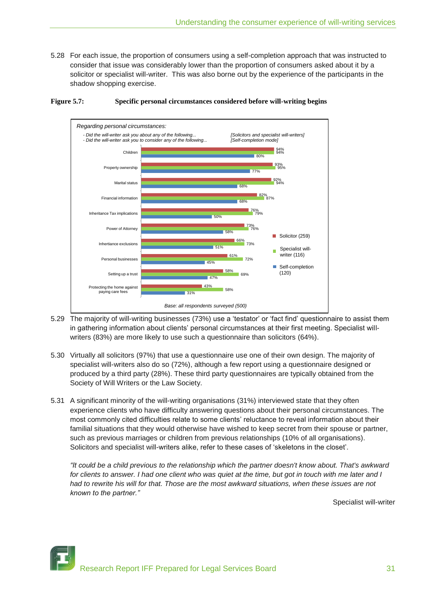5.28 For each issue, the proportion of consumers using a self-completion approach that was instructed to consider that issue was considerably lower than the proportion of consumers asked about it by a solicitor or specialist will-writer. This was also borne out by the experience of the participants in the shadow shopping exercise.



#### **Figure 5.7: Specific personal circumstances considered before will-writing begins**

- 5.29 The majority of will-writing businesses (73%) use a "testator" or "fact find" questionnaire to assist them in gathering information about clients' personal circumstances at their first meeting. Specialist willwriters (83%) are more likely to use such a questionnaire than solicitors (64%).
- 5.30 Virtually all solicitors (97%) that use a questionnaire use one of their own design. The majority of specialist will-writers also do so (72%), although a few report using a questionnaire designed or produced by a third party (28%). These third party questionnaires are typically obtained from the Society of Will Writers or the Law Society.
- 5.31 A significant minority of the will-writing organisations (31%) interviewed state that they often experience clients who have difficulty answering questions about their personal circumstances. The most commonly cited difficulties relate to some clients" reluctance to reveal information about their familial situations that they would otherwise have wished to keep secret from their spouse or partner, such as previous marriages or children from previous relationships (10% of all organisations). Solicitors and specialist will-writers alike, refer to these cases of "skeletons in the closet".

*"It could be a child previous to the relationship which the partner doesn't know about. That's awkward*  for clients to answer. I had one client who was quiet at the time, but got in touch with me later and I *had to rewrite his will for that. Those are the most awkward situations, when these issues are not known to the partner."*

Specialist will-writer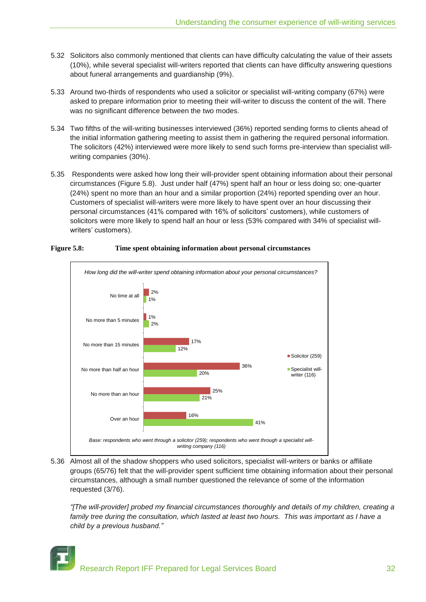- 5.32 Solicitors also commonly mentioned that clients can have difficulty calculating the value of their assets (10%), while several specialist will-writers reported that clients can have difficulty answering questions about funeral arrangements and guardianship (9%).
- 5.33 Around two-thirds of respondents who used a solicitor or specialist will-writing company (67%) were asked to prepare information prior to meeting their will-writer to discuss the content of the will. There was no significant difference between the two modes.
- 5.34 Two fifths of the will-writing businesses interviewed (36%) reported sending forms to clients ahead of the initial information gathering meeting to assist them in gathering the required personal information. The solicitors (42%) interviewed were more likely to send such forms pre-interview than specialist willwriting companies (30%).
- 5.35 Respondents were asked how long their will-provider spent obtaining information about their personal circumstances (Figure 5.8). Just under half (47%) spent half an hour or less doing so; one-quarter (24%) spent no more than an hour and a similar proportion (24%) reported spending over an hour. Customers of specialist will-writers were more likely to have spent over an hour discussing their personal circumstances (41% compared with 16% of solicitors' customers), while customers of solicitors were more likely to spend half an hour or less (53% compared with 34% of specialist willwriters' customers).



## **Figure 5.8: Time spent obtaining information about personal circumstances**

5.36 Almost all of the shadow shoppers who used solicitors, specialist will-writers or banks or affiliate groups (65/76) felt that the will-provider spent sufficient time obtaining information about their personal circumstances, although a small number questioned the relevance of some of the information requested (3/76).

*"[The will-provider] probed my financial circumstances thoroughly and details of my children, creating a*  family tree during the consultation, which lasted at least two hours. This was important as I have a *child by a previous husband."*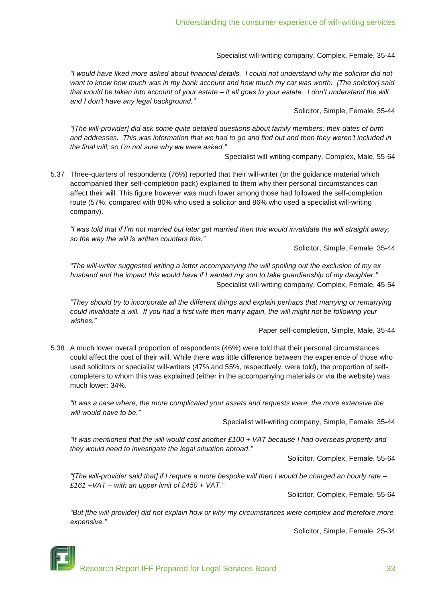Specialist will-writing company, Complex, Female, 35-44

*"I would have liked more asked about financial details. I could not understand why the solicitor did not want to know how much was in my bank account and how much my car was worth. [The solicitor] said that would be taken into account of your estate – it all goes to your estate. I don"t understand the will and I don"t have any legal background."*

Solicitor, Simple, Female, 35-44

*"[The will-provider] did ask some quite detailed questions about family members: their dates of birth and addresses. This was information that we had to go and find out and then they weren"t included in the final will; so I"m not sure why we were asked."*

Specialist will-writing company, Complex, Male, 55-64

5.37 Three-quarters of respondents (76%) reported that their will-writer (or the guidance material which accompanied their self-completion pack) explained to them why their personal circumstances can affect their will. This figure however was much lower among those had followed the self-completion route (57%; compared with 80% who used a solicitor and 86% who used a specialist will-writing company).

*"I was told that if I"m not married but later get married then this would invalidate the will straight away; so the way the will is written counters this."*

Solicitor, Simple, Female, 35-44

*"The will-writer suggested writing a letter accompanying the will spelling out the exclusion of my ex husband and the impact this would have if I wanted my son to take guardianship of my daughter."* Specialist will-writing company, Complex, Female, 45-54

*"They should try to incorporate all the different things and explain perhaps that marrying or remarrying could invalidate a will. If you had a first wife then marry again, the will might not be following your wishes."*

Paper self-completion, Simple, Male, 35-44

5.38 A much lower overall proportion of respondents (46%) were told that their personal circumstances could affect the cost of their will. While there was little difference between the experience of those who used solicitors or specialist will-writers (47% and 55%, respectively, were told), the proportion of selfcompleters to whom this was explained (either in the accompanying materials or via the website) was much lower: 34%.

*"It was a case where, the more complicated your assets and requests were, the more extensive the will would have to be."*

Specialist will-writing company, Simple, Female, 35-44

*"It was mentioned that the will would cost another £100 + VAT because I had overseas property and they would need to investigate the legal situation abroad."*

Solicitor, Complex, Female, 55-64

*"[The will-provider said that] if I require a more bespoke will then I would be charged an hourly rate – £161 +VAT – with an upper limit of £450 + VAT."*

Solicitor, Complex, Female, 55-64

*"But [the will-provider] did not explain how or why my circumstances were complex and therefore more expensive."*

Solicitor, Simple, Female, 25-34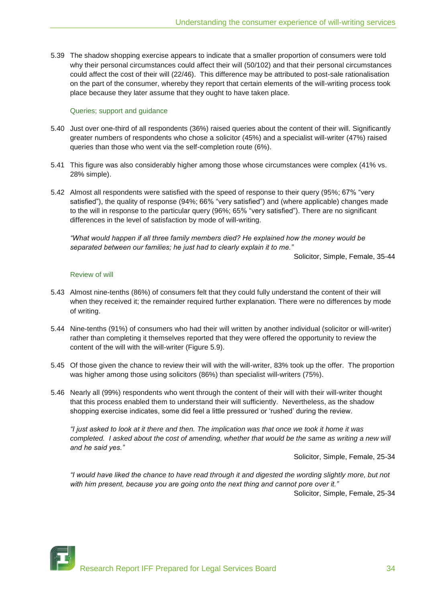5.39 The shadow shopping exercise appears to indicate that a smaller proportion of consumers were told why their personal circumstances could affect their will (50/102) and that their personal circumstances could affect the cost of their will (22/46). This difference may be attributed to post-sale rationalisation on the part of the consumer, whereby they report that certain elements of the will-writing process took place because they later assume that they ought to have taken place.

#### Queries; support and guidance

- 5.40 Just over one-third of all respondents (36%) raised queries about the content of their will. Significantly greater numbers of respondents who chose a solicitor (45%) and a specialist will-writer (47%) raised queries than those who went via the self-completion route (6%).
- 5.41 This figure was also considerably higher among those whose circumstances were complex (41% vs. 28% simple).
- 5.42 Almost all respondents were satisfied with the speed of response to their query (95%; 67% "very satisfied"), the quality of response (94%; 66% "very satisfied") and (where applicable) changes made to the will in response to the particular query (96%; 65% "very satisfied"). There are no significant differences in the level of satisfaction by mode of will-writing.

*"What would happen if all three family members died? He explained how the money would be separated between our families; he just had to clearly explain it to me."*

Solicitor, Simple, Female, 35-44

#### Review of will

- 5.43 Almost nine-tenths (86%) of consumers felt that they could fully understand the content of their will when they received it; the remainder required further explanation. There were no differences by mode of writing.
- 5.44 Nine-tenths (91%) of consumers who had their will written by another individual (solicitor or will-writer) rather than completing it themselves reported that they were offered the opportunity to review the content of the will with the will-writer (Figure 5.9).
- 5.45 Of those given the chance to review their will with the will-writer, 83% took up the offer. The proportion was higher among those using solicitors (86%) than specialist will-writers (75%).
- 5.46 Nearly all (99%) respondents who went through the content of their will with their will-writer thought that this process enabled them to understand their will sufficiently. Nevertheless, as the shadow shopping exercise indicates, some did feel a little pressured or "rushed" during the review.

*"I just asked to look at it there and then. The implication was that once we took it home it was completed. I asked about the cost of amending, whether that would be the same as writing a new will and he said yes."*

Solicitor, Simple, Female, 25-34

*"I would have liked the chance to have read through it and digested the wording slightly more, but not with him present, because you are going onto the next thing and cannot pore over it."* Solicitor, Simple, Female, 25-34

Research Report IFF Prepared for Legal Services Board 34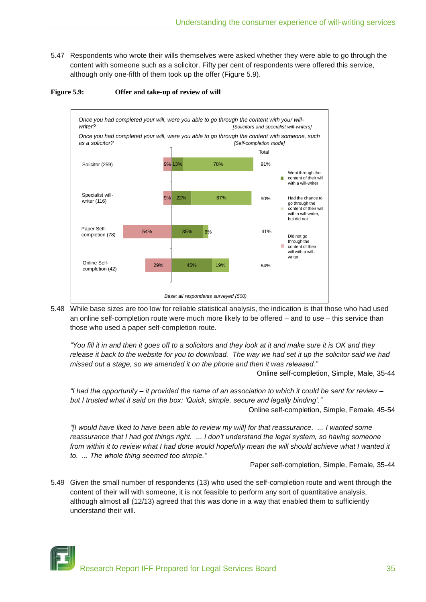5.47 Respondents who wrote their wills themselves were asked whether they were able to go through the content with someone such as a solicitor. Fifty per cent of respondents were offered this service, although only one-fifth of them took up the offer (Figure 5.9).



#### **Figure 5.9: Offer and take-up of review of will**

5.48 While base sizes are too low for reliable statistical analysis, the indication is that those who had used an online self-completion route were much more likely to be offered – and to use – this service than those who used a paper self-completion route.

*"You fill it in and then it goes off to a solicitors and they look at it and make sure it is OK and they release it back to the website for you to download. The way we had set it up the solicitor said we had missed out a stage, so we amended it on the phone and then it was released."*

Online self-completion, Simple, Male, 35-44

*"I had the opportunity – it provided the name of an association to which it could be sent for review – but I trusted what it said on the box: "Quick, simple, secure and legally binding"."*

Online self-completion, Simple, Female, 45-54

*"[I would have liked to have been able to review my will] for that reassurance. ... I wanted some reassurance that I had got things right. ... I don"t understand the legal system, so having someone from within it to review what I had done would hopefully mean the will should achieve what I wanted it to. ... The whole thing seemed too simple."*

Paper self-completion, Simple, Female, 35-44

5.49 Given the small number of respondents (13) who used the self-completion route and went through the content of their will with someone, it is not feasible to perform any sort of quantitative analysis, although almost all (12/13) agreed that this was done in a way that enabled them to sufficiently understand their will.

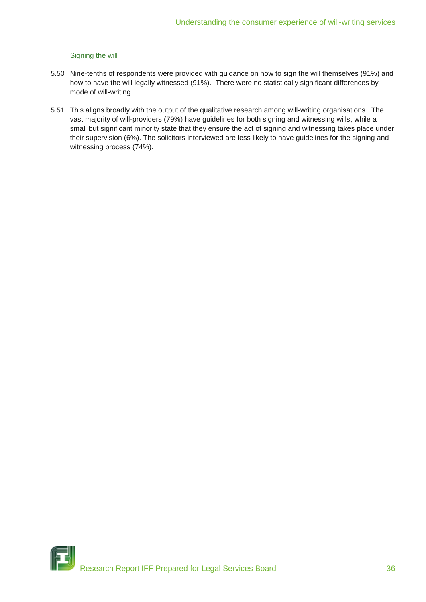## Signing the will

- 5.50 Nine-tenths of respondents were provided with guidance on how to sign the will themselves (91%) and how to have the will legally witnessed (91%). There were no statistically significant differences by mode of will-writing.
- 5.51 This aligns broadly with the output of the qualitative research among will-writing organisations. The vast majority of will-providers (79%) have guidelines for both signing and witnessing wills, while a small but significant minority state that they ensure the act of signing and witnessing takes place under their supervision (6%). The solicitors interviewed are less likely to have guidelines for the signing and witnessing process (74%).

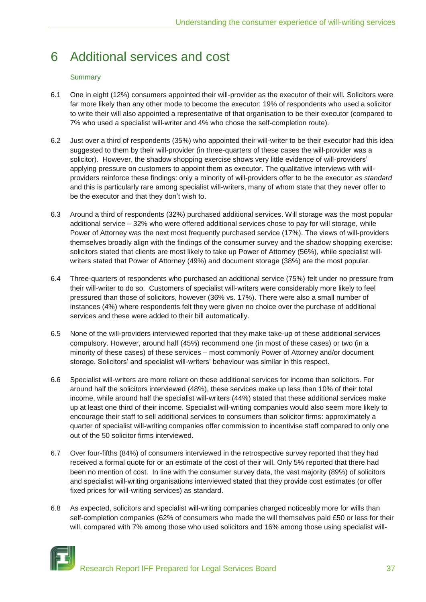## 6 Additional services and cost

## **Summary**

- 6.1 One in eight (12%) consumers appointed their will-provider as the executor of their will. Solicitors were far more likely than any other mode to become the executor: 19% of respondents who used a solicitor to write their will also appointed a representative of that organisation to be their executor (compared to 7% who used a specialist will-writer and 4% who chose the self-completion route).
- 6.2 Just over a third of respondents (35%) who appointed their will-writer to be their executor had this idea suggested to them by their will-provider (in three-quarters of these cases the will-provider was a solicitor). However, the shadow shopping exercise shows very little evidence of will-providers' applying pressure on customers to appoint them as executor. The qualitative interviews with willproviders reinforce these findings: only a minority of will-providers offer to be the executor *as standard* and this is particularly rare among specialist will-writers, many of whom state that they never offer to be the executor and that they don"t wish to.
- 6.3 Around a third of respondents (32%) purchased additional services. Will storage was the most popular additional service – 32% who were offered additional services chose to pay for will storage, while Power of Attorney was the next most frequently purchased service (17%). The views of will-providers themselves broadly align with the findings of the consumer survey and the shadow shopping exercise: solicitors stated that clients are most likely to take up Power of Attorney (56%), while specialist willwriters stated that Power of Attorney (49%) and document storage (38%) are the most popular.
- 6.4 Three-quarters of respondents who purchased an additional service (75%) felt under no pressure from their will-writer to do so. Customers of specialist will-writers were considerably more likely to feel pressured than those of solicitors, however (36% vs. 17%). There were also a small number of instances (4%) where respondents felt they were given no choice over the purchase of additional services and these were added to their bill automatically.
- 6.5 None of the will-providers interviewed reported that they make take-up of these additional services compulsory. However, around half (45%) recommend one (in most of these cases) or two (in a minority of these cases) of these services – most commonly Power of Attorney and/or document storage. Solicitors' and specialist will-writers' behaviour was similar in this respect.
- 6.6 Specialist will-writers are more reliant on these additional services for income than solicitors. For around half the solicitors interviewed (48%), these services make up less than 10% of their total income, while around half the specialist will-writers (44%) stated that these additional services make up at least one third of their income. Specialist will-writing companies would also seem more likely to encourage their staff to sell additional services to consumers than solicitor firms: approximately a quarter of specialist will-writing companies offer commission to incentivise staff compared to only one out of the 50 solicitor firms interviewed.
- 6.7 Over four-fifths (84%) of consumers interviewed in the retrospective survey reported that they had received a formal quote for or an estimate of the cost of their will. Only 5% reported that there had been no mention of cost. In line with the consumer survey data, the vast majority (89%) of solicitors and specialist will-writing organisations interviewed stated that they provide cost estimates (or offer fixed prices for will-writing services) as standard.
- 6.8 As expected, solicitors and specialist will-writing companies charged noticeably more for wills than self-completion companies (62% of consumers who made the will themselves paid £50 or less for their will, compared with 7% among those who used solicitors and 16% among those using specialist will-



Research Report IFF Prepared for Legal Services Board 37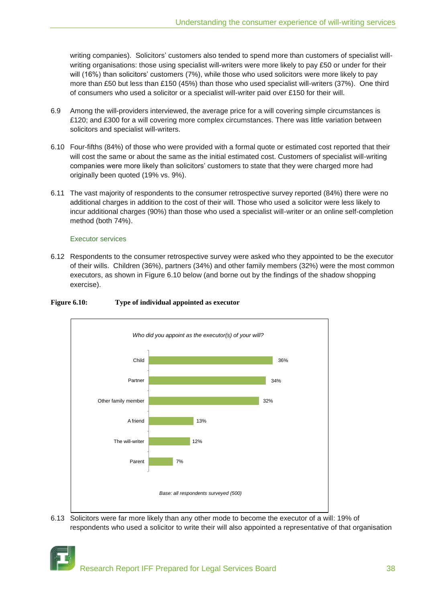writing companies). Solicitors' customers also tended to spend more than customers of specialist willwriting organisations: those using specialist will-writers were more likely to pay £50 or under for their will (16%) than solicitors' customers (7%), while those who used solicitors were more likely to pay more than £50 but less than £150 (45%) than those who used specialist will-writers (37%). One third of consumers who used a solicitor or a specialist will-writer paid over £150 for their will.

- 6.9 Among the will-providers interviewed, the average price for a will covering simple circumstances is £120; and £300 for a will covering more complex circumstances. There was little variation between solicitors and specialist will-writers.
- 6.10 Four-fifths (84%) of those who were provided with a formal quote or estimated cost reported that their will cost the same or about the same as the initial estimated cost. Customers of specialist will-writing companies were more likely than solicitors" customers to state that they were charged more had originally been quoted (19% vs. 9%).
- 6.11 The vast majority of respondents to the consumer retrospective survey reported (84%) there were no additional charges in addition to the cost of their will. Those who used a solicitor were less likely to incur additional charges (90%) than those who used a specialist will-writer or an online self-completion method (both 74%).

## Executor services

6.12 Respondents to the consumer retrospective survey were asked who they appointed to be the executor of their wills. Children (36%), partners (34%) and other family members (32%) were the most common executors, as shown in Figure 6.10 below (and borne out by the findings of the shadow shopping exercise).



#### **Figure 6.10: Type of individual appointed as executor**

6.13 Solicitors were far more likely than any other mode to become the executor of a will: 19% of respondents who used a solicitor to write their will also appointed a representative of that organisation

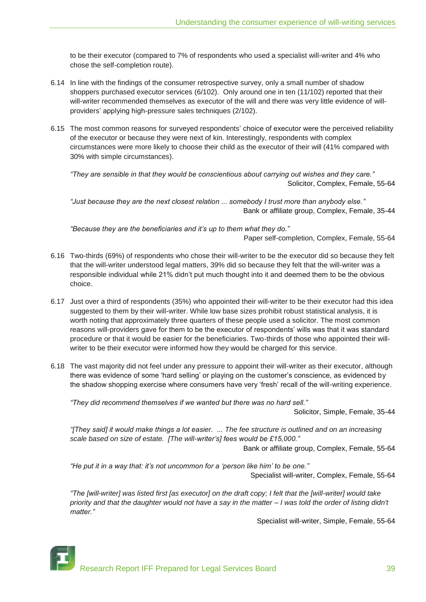to be their executor (compared to 7% of respondents who used a specialist will-writer and 4% who chose the self-completion route).

- 6.14 In line with the findings of the consumer retrospective survey, only a small number of shadow shoppers purchased executor services (6/102). Only around one in ten (11/102) reported that their will-writer recommended themselves as executor of the will and there was very little evidence of willproviders" applying high-pressure sales techniques (2/102).
- 6.15 The most common reasons for surveyed respondents" choice of executor were the perceived reliability of the executor or because they were next of kin. Interestingly, respondents with complex circumstances were more likely to choose their child as the executor of their will (41% compared with 30% with simple circumstances).

*"They are sensible in that they would be conscientious about carrying out wishes and they care."* Solicitor, Complex, Female, 55-64

*"Just because they are the next closest relation ... somebody I trust more than anybody else."* Bank or affiliate group, Complex, Female, 35-44

*"Because they are the beneficiaries and it"s up to them what they do."*

Paper self-completion, Complex, Female, 55-64

- 6.16 Two-thirds (69%) of respondents who chose their will-writer to be the executor did so because they felt that the will-writer understood legal matters, 39% did so because they felt that the will-writer was a responsible individual while 21% didn"t put much thought into it and deemed them to be the obvious choice.
- 6.17 Just over a third of respondents (35%) who appointed their will-writer to be their executor had this idea suggested to them by their will-writer. While low base sizes prohibit robust statistical analysis, it is worth noting that approximately three quarters of these people used a solicitor. The most common reasons will-providers gave for them to be the executor of respondents" wills was that it was standard procedure or that it would be easier for the beneficiaries. Two-thirds of those who appointed their willwriter to be their executor were informed how they would be charged for this service.
- 6.18 The vast majority did not feel under any pressure to appoint their will-writer as their executor, although there was evidence of some "hard selling" or playing on the customer"s conscience, as evidenced by the shadow shopping exercise where consumers have very "fresh" recall of the will-writing experience.

*"They did recommend themselves if we wanted but there was no hard sell."*

Solicitor, Simple, Female, 35-44

*"[They said] it would make things a lot easier. ... The fee structure is outlined and on an increasing scale based on size of estate. [The will-writer"s] fees would be £15,000."*

Bank or affiliate group, Complex, Female, 55-64

*"He put it in a way that: it"s not uncommon for a "person like him" to be one."*

Specialist will-writer, Complex, Female, 55-64

*"The [will-writer] was listed first [as executor] on the draft copy; I felt that the [will-writer] would take priority and that the daughter would not have a say in the matter – I was told the order of listing didn't matter."*

Specialist will-writer, Simple, Female, 55-64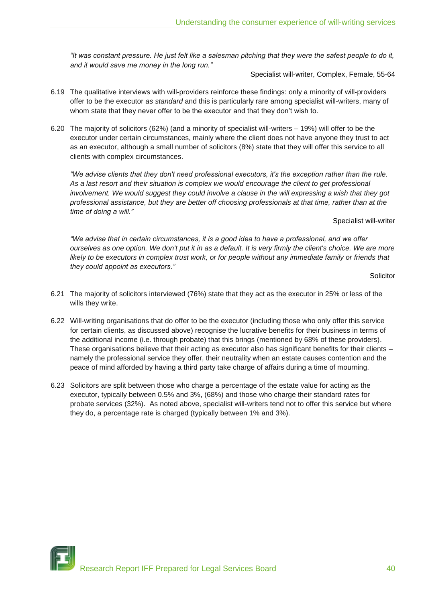*"It was constant pressure. He just felt like a salesman pitching that they were the safest people to do it, and it would save me money in the long run."*

Specialist will-writer, Complex, Female, 55-64

- 6.19 The qualitative interviews with will-providers reinforce these findings: only a minority of will-providers offer to be the executor *as standard* and this is particularly rare among specialist will-writers, many of whom state that they never offer to be the executor and that they don't wish to.
- 6.20 The majority of solicitors (62%) (and a minority of specialist will-writers 19%) will offer to be the executor under certain circumstances, mainly where the client does not have anyone they trust to act as an executor, although a small number of solicitors (8%) state that they will offer this service to all clients with complex circumstances.

*"We advise clients that they don't need professional executors, it's the exception rather than the rule. As a last resort and their situation is complex we would encourage the client to get professional involvement. We would suggest they could involve a clause in the will expressing a wish that they got professional assistance, but they are better off choosing professionals at that time, rather than at the time of doing a will."*

Specialist will-writer

*"We advise that in certain circumstances, it is a good idea to have a professional, and we offer ourselves as one option. We don't put it in as a default. It is very firmly the client's choice. We are more*  likely to be executors in complex trust work, or for people without any immediate family or friends that *they could appoint as executors."*

Solicitor

- 6.21 The majority of solicitors interviewed (76%) state that they act as the executor in 25% or less of the wills they write.
- 6.22 Will-writing organisations that do offer to be the executor (including those who only offer this service for certain clients, as discussed above) recognise the lucrative benefits for their business in terms of the additional income (i.e. through probate) that this brings (mentioned by 68% of these providers). These organisations believe that their acting as executor also has significant benefits for their clients – namely the professional service they offer, their neutrality when an estate causes contention and the peace of mind afforded by having a third party take charge of affairs during a time of mourning.
- 6.23 Solicitors are split between those who charge a percentage of the estate value for acting as the executor, typically between 0.5% and 3%, (68%) and those who charge their standard rates for probate services (32%). As noted above, specialist will-writers tend not to offer this service but where they do, a percentage rate is charged (typically between 1% and 3%).

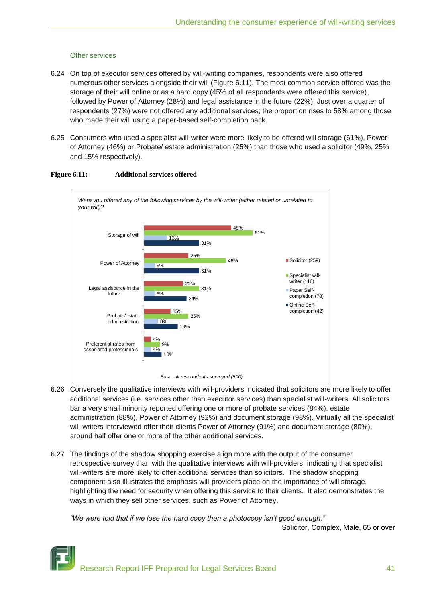## Other services

- 6.24 On top of executor services offered by will-writing companies, respondents were also offered numerous other services alongside their will (Figure 6.11). The most common service offered was the storage of their will online or as a hard copy (45% of all respondents were offered this service), followed by Power of Attorney (28%) and legal assistance in the future (22%). Just over a quarter of respondents (27%) were not offered any additional services; the proportion rises to 58% among those who made their will using a paper-based self-completion pack.
- 6.25 Consumers who used a specialist will-writer were more likely to be offered will storage (61%), Power of Attorney (46%) or Probate/ estate administration (25%) than those who used a solicitor (49%, 25% and 15% respectively).



## **Figure 6.11: Additional services offered**

- 6.26 Conversely the qualitative interviews with will-providers indicated that solicitors are more likely to offer additional services (i.e. services other than executor services) than specialist will-writers. All solicitors bar a very small minority reported offering one or more of probate services (84%), estate administration (88%), Power of Attorney (92%) and document storage (98%). Virtually all the specialist will-writers interviewed offer their clients Power of Attorney (91%) and document storage (80%), around half offer one or more of the other additional services.
- 6.27 The findings of the shadow shopping exercise align more with the output of the consumer retrospective survey than with the qualitative interviews with will-providers, indicating that specialist will-writers are more likely to offer additional services than solicitors. The shadow shopping component also illustrates the emphasis will-providers place on the importance of will storage, highlighting the need for security when offering this service to their clients. It also demonstrates the ways in which they sell other services, such as Power of Attorney.

*"We were told that if we lose the hard copy then a photocopy isn"t good enough."*

Solicitor, Complex, Male, 65 or over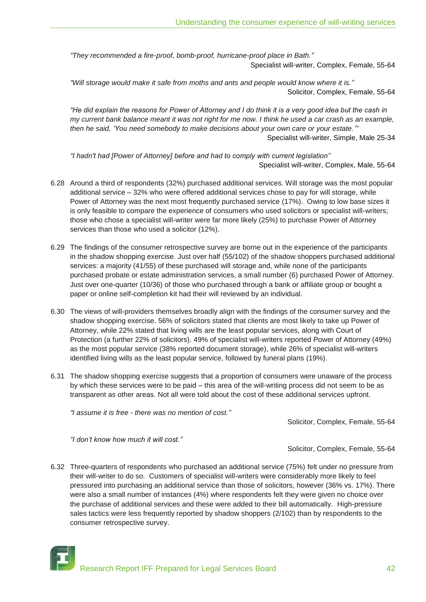*"They recommended a fire-proof, bomb-proof, hurricane-proof place in Bath."* Specialist will-writer, Complex, Female, 55-64

*"Will storage would make it safe from moths and ants and people would know where it is."* Solicitor, Complex, Female, 55-64

*"He did explain the reasons for Power of Attorney and I do think it is a very good idea but the cash in my current bank balance meant it was not right for me now. I think he used a car crash as an example, then he said, "You need somebody to make decisions about your own care or your estate.""* Specialist will-writer, Simple, Male 25-34

*"I hadn't had [Power of Attorney] before and had to comply with current legislation"* Specialist will-writer, Complex, Male, 55-64

- 6.28 Around a third of respondents (32%) purchased additional services. Will storage was the most popular additional service – 32% who were offered additional services chose to pay for will storage, while Power of Attorney was the next most frequently purchased service (17%). Owing to low base sizes it is only feasible to compare the experience of consumers who used solicitors or specialist will-writers; those who chose a specialist will-writer were far more likely (25%) to purchase Power of Attorney services than those who used a solicitor (12%).
- 6.29 The findings of the consumer retrospective survey are borne out in the experience of the participants in the shadow shopping exercise. Just over half (55/102) of the shadow shoppers purchased additional services: a majority (41/55) of these purchased will storage and, while none of the participants purchased probate or estate administration services, a small number (6) purchased Power of Attorney. Just over one-quarter (10/36) of those who purchased through a bank or affiliate group or bought a paper or online self-completion kit had their will reviewed by an individual.
- 6.30 The views of will-providers themselves broadly align with the findings of the consumer survey and the shadow shopping exercise. 56% of solicitors stated that clients are most likely to take up Power of Attorney, while 22% stated that living wills are the least popular services, along with Court of Protection (a further 22% of solicitors). 49% of specialist will-writers reported Power of Attorney (49%) as the most popular service (38% reported document storage), while 26% of specialist will-writers identified living wills as the least popular service, followed by funeral plans (19%).
- 6.31 The shadow shopping exercise suggests that a proportion of consumers were unaware of the process by which these services were to be paid – this area of the will-writing process did not seem to be as transparent as other areas. Not all were told about the cost of these additional services upfront.

*"I assume it is free - there was no mention of cost."*

Solicitor, Complex, Female, 55-64

*"I don"t know how much it will cost."*

Solicitor, Complex, Female, 55-64

6.32 Three-quarters of respondents who purchased an additional service (75%) felt under no pressure from their will-writer to do so. Customers of specialist will-writers were considerably more likely to feel pressured into purchasing an additional service than those of solicitors, however (36% vs. 17%). There were also a small number of instances (4%) where respondents felt they were given no choice over the purchase of additional services and these were added to their bill automatically. High-pressure sales tactics were less frequently reported by shadow shoppers (2/102) than by respondents to the consumer retrospective survey.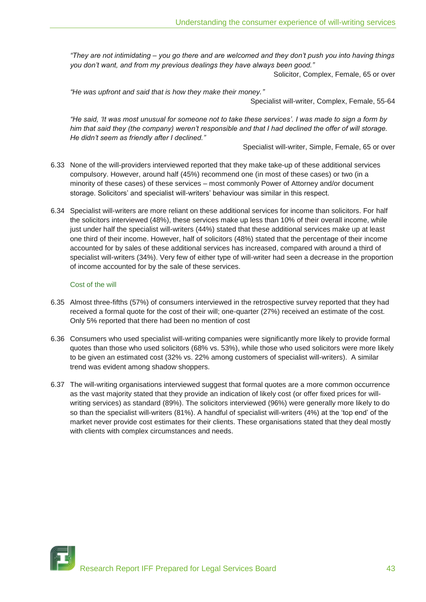*"They are not intimidating – you go there and are welcomed and they don"t push you into having things you don"t want, and from my previous dealings they have always been good."*

Solicitor, Complex, Female, 65 or over

*"He was upfront and said that is how they make their money."*

Specialist will-writer, Complex, Female, 55-64

*"He said, "It was most unusual for someone not to take these services". I was made to sign a form by him that said they (the company) weren"t responsible and that I had declined the offer of will storage. He didn"t seem as friendly after I declined."*

Specialist will-writer, Simple, Female, 65 or over

- 6.33 None of the will-providers interviewed reported that they make take-up of these additional services compulsory. However, around half (45%) recommend one (in most of these cases) or two (in a minority of these cases) of these services – most commonly Power of Attorney and/or document storage. Solicitors" and specialist will-writers" behaviour was similar in this respect.
- 6.34 Specialist will-writers are more reliant on these additional services for income than solicitors. For half the solicitors interviewed (48%), these services make up less than 10% of their overall income, while just under half the specialist will-writers (44%) stated that these additional services make up at least one third of their income. However, half of solicitors (48%) stated that the percentage of their income accounted for by sales of these additional services has increased, compared with around a third of specialist will-writers (34%). Very few of either type of will-writer had seen a decrease in the proportion of income accounted for by the sale of these services.

#### Cost of the will

- 6.35 Almost three-fifths (57%) of consumers interviewed in the retrospective survey reported that they had received a formal quote for the cost of their will; one-quarter (27%) received an estimate of the cost. Only 5% reported that there had been no mention of cost
- 6.36 Consumers who used specialist will-writing companies were significantly more likely to provide formal quotes than those who used solicitors (68% vs. 53%), while those who used solicitors were more likely to be given an estimated cost (32% vs. 22% among customers of specialist will-writers). A similar trend was evident among shadow shoppers.
- 6.37 The will-writing organisations interviewed suggest that formal quotes are a more common occurrence as the vast majority stated that they provide an indication of likely cost (or offer fixed prices for willwriting services) as standard (89%). The solicitors interviewed (96%) were generally more likely to do so than the specialist will-writers (81%). A handful of specialist will-writers (4%) at the "top end" of the market never provide cost estimates for their clients. These organisations stated that they deal mostly with clients with complex circumstances and needs.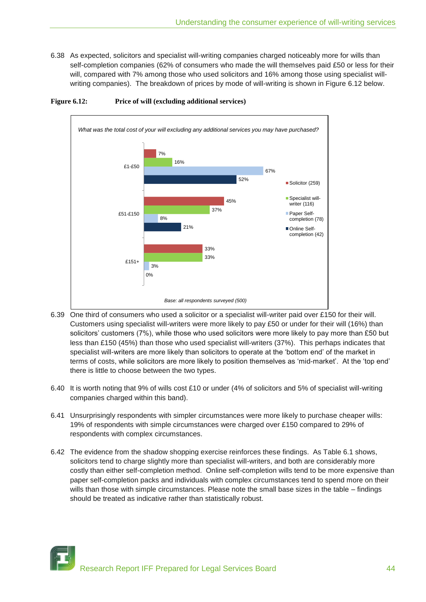6.38 As expected, solicitors and specialist will-writing companies charged noticeably more for wills than self-completion companies (62% of consumers who made the will themselves paid £50 or less for their will, compared with 7% among those who used solicitors and 16% among those using specialist willwriting companies). The breakdown of prices by mode of will-writing is shown in Figure 6.12 below.



**Figure 6.12: Price of will (excluding additional services)**

- 6.39 One third of consumers who used a solicitor or a specialist will-writer paid over £150 for their will. Customers using specialist will-writers were more likely to pay £50 or under for their will (16%) than solicitors' customers (7%), while those who used solicitors were more likely to pay more than £50 but less than £150 (45%) than those who used specialist will-writers (37%). This perhaps indicates that specialist will-writers are more likely than solicitors to operate at the "bottom end" of the market in terms of costs, while solicitors are more likely to position themselves as "mid-market". At the "top end" there is little to choose between the two types.
- 6.40 It is worth noting that 9% of wills cost £10 or under (4% of solicitors and 5% of specialist will-writing companies charged within this band).
- 6.41 Unsurprisingly respondents with simpler circumstances were more likely to purchase cheaper wills: 19% of respondents with simple circumstances were charged over £150 compared to 29% of respondents with complex circumstances.
- 6.42 The evidence from the shadow shopping exercise reinforces these findings. As Table 6.1 shows, solicitors tend to charge slightly more than specialist will-writers, and both are considerably more costly than either self-completion method. Online self-completion wills tend to be more expensive than paper self-completion packs and individuals with complex circumstances tend to spend more on their wills than those with simple circumstances. Please note the small base sizes in the table – findings should be treated as indicative rather than statistically robust.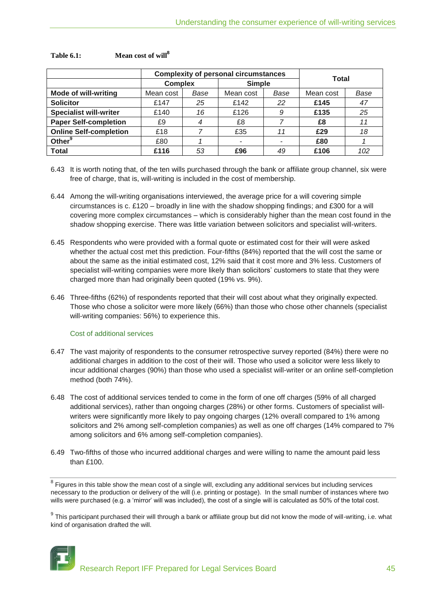|                               |                | <b>Complexity of personal circumstances</b> | <b>Total</b>  |      |      |      |
|-------------------------------|----------------|---------------------------------------------|---------------|------|------|------|
|                               | <b>Complex</b> |                                             | <b>Simple</b> |      |      |      |
| <b>Mode of will-writing</b>   | Mean cost      | Base                                        | Mean cost     | Base |      | Base |
| <b>Solicitor</b>              | £147           | 25                                          | £142          | 22   | £145 | 47   |
| <b>Specialist will-writer</b> | £140           | 16                                          | £126          | 9    | £135 | 25   |
| <b>Paper Self-completion</b>  | £9             | 4                                           | £8            |      | £8   | 11   |
| <b>Online Self-completion</b> | £18            |                                             | £35           | 11   | £29  | 18   |
| Other <sup>9</sup>            | £80            |                                             |               |      | £80  |      |
| <b>Total</b>                  | £116           | 53                                          | £96           | 49   | £106 | 102  |

## **Table 6.1: Mean cost of will<sup>8</sup>**

6.43 It is worth noting that, of the ten wills purchased through the bank or affiliate group channel, six were free of charge, that is, will-writing is included in the cost of membership.

- 6.44 Among the will-writing organisations interviewed, the average price for a will covering simple circumstances is c. £120 – broadly in line with the shadow shopping findings; and £300 for a will covering more complex circumstances – which is considerably higher than the mean cost found in the shadow shopping exercise. There was little variation between solicitors and specialist will-writers.
- 6.45 Respondents who were provided with a formal quote or estimated cost for their will were asked whether the actual cost met this prediction. Four-fifths (84%) reported that the will cost the same or about the same as the initial estimated cost, 12% said that it cost more and 3% less. Customers of specialist will-writing companies were more likely than solicitors' customers to state that they were charged more than had originally been quoted (19% vs. 9%).
- 6.46 Three-fifths (62%) of respondents reported that their will cost about what they originally expected. Those who chose a solicitor were more likely (66%) than those who chose other channels (specialist will-writing companies: 56%) to experience this.

## Cost of additional services

- 6.47 The vast majority of respondents to the consumer retrospective survey reported (84%) there were no additional charges in addition to the cost of their will. Those who used a solicitor were less likely to incur additional charges (90%) than those who used a specialist will-writer or an online self-completion method (both 74%).
- 6.48 The cost of additional services tended to come in the form of one off charges (59% of all charged additional services), rather than ongoing charges (28%) or other forms. Customers of specialist willwriters were significantly more likely to pay ongoing charges (12% overall compared to 1% among solicitors and 2% among self-completion companies) as well as one off charges (14% compared to 7% among solicitors and 6% among self-completion companies).
- 6.49 Two-fifths of those who incurred additional charges and were willing to name the amount paid less than £100.

 $^9$  This participant purchased their will through a bank or affiliate group but did not know the mode of will-writing, i.e. what kind of organisation drafted the will.



 $^8$  Figures in this table show the mean cost of a single will, excluding any additional services but including services necessary to the production or delivery of the will (i.e. printing or postage). In the small number of instances where two wills were purchased (e.g. a 'mirror' will was included), the cost of a single will is calculated as 50% of the total cost.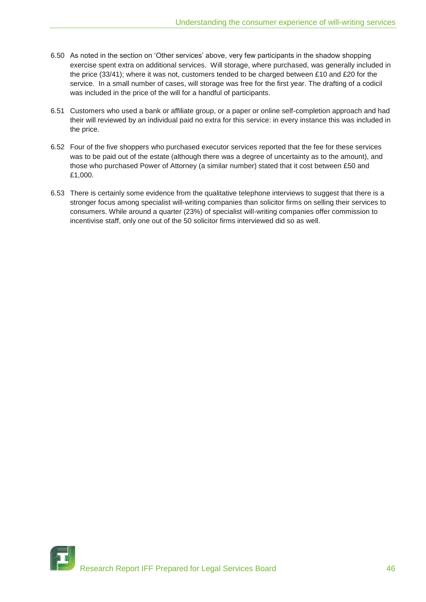- 6.50 As noted in the section on "Other services" above, very few participants in the shadow shopping exercise spent extra on additional services. Will storage, where purchased, was generally included in the price (33/41); where it was not, customers tended to be charged between £10 and £20 for the service. In a small number of cases, will storage was free for the first year. The drafting of a codicil was included in the price of the will for a handful of participants.
- 6.51 Customers who used a bank or affiliate group, or a paper or online self-completion approach and had their will reviewed by an individual paid no extra for this service: in every instance this was included in the price.
- 6.52 Four of the five shoppers who purchased executor services reported that the fee for these services was to be paid out of the estate (although there was a degree of uncertainty as to the amount), and those who purchased Power of Attorney (a similar number) stated that it cost between £50 and £1,000.
- 6.53 There is certainly some evidence from the qualitative telephone interviews to suggest that there is a stronger focus among specialist will-writing companies than solicitor firms on selling their services to consumers. While around a quarter (23%) of specialist will-writing companies offer commission to incentivise staff, only one out of the 50 solicitor firms interviewed did so as well.

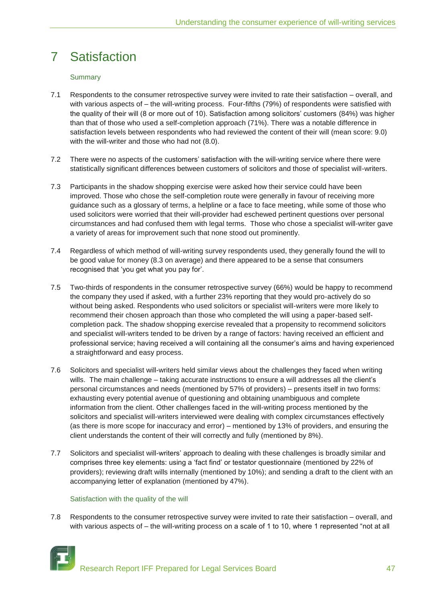## 7 Satisfaction

## **Summary**

- 7.1 Respondents to the consumer retrospective survey were invited to rate their satisfaction overall, and with various aspects of – the will-writing process. Four-fifths (79%) of respondents were satisfied with the quality of their will (8 or more out of 10). Satisfaction among solicitors' customers (84%) was higher than that of those who used a self-completion approach (71%). There was a notable difference in satisfaction levels between respondents who had reviewed the content of their will (mean score: 9.0) with the will-writer and those who had not (8.0).
- 7.2 There were no aspects of the customers" satisfaction with the will-writing service where there were statistically significant differences between customers of solicitors and those of specialist will-writers.
- 7.3 Participants in the shadow shopping exercise were asked how their service could have been improved. Those who chose the self-completion route were generally in favour of receiving more guidance such as a glossary of terms, a helpline or a face to face meeting, while some of those who used solicitors were worried that their will-provider had eschewed pertinent questions over personal circumstances and had confused them with legal terms. Those who chose a specialist will-writer gave a variety of areas for improvement such that none stood out prominently.
- 7.4 Regardless of which method of will-writing survey respondents used, they generally found the will to be good value for money (8.3 on average) and there appeared to be a sense that consumers recognised that "you get what you pay for".
- 7.5 Two-thirds of respondents in the consumer retrospective survey (66%) would be happy to recommend the company they used if asked, with a further 23% reporting that they would pro-actively do so without being asked. Respondents who used solicitors or specialist will-writers were more likely to recommend their chosen approach than those who completed the will using a paper-based selfcompletion pack. The shadow shopping exercise revealed that a propensity to recommend solicitors and specialist will-writers tended to be driven by a range of factors: having received an efficient and professional service; having received a will containing all the consumer"s aims and having experienced a straightforward and easy process.
- 7.6 Solicitors and specialist will-writers held similar views about the challenges they faced when writing wills. The main challenge – taking accurate instructions to ensure a will addresses all the client's personal circumstances and needs (mentioned by 57% of providers) – presents itself in two forms: exhausting every potential avenue of questioning and obtaining unambiguous and complete information from the client. Other challenges faced in the will-writing process mentioned by the solicitors and specialist will-writers interviewed were dealing with complex circumstances effectively (as there is more scope for inaccuracy and error) – mentioned by 13% of providers, and ensuring the client understands the content of their will correctly and fully (mentioned by 8%).
- 7.7 Solicitors and specialist will-writers" approach to dealing with these challenges is broadly similar and comprises three key elements: using a "fact find" or testator questionnaire (mentioned by 22% of providers); reviewing draft wills internally (mentioned by 10%); and sending a draft to the client with an accompanying letter of explanation (mentioned by 47%).

## Satisfaction with the quality of the will

7.8 Respondents to the consumer retrospective survey were invited to rate their satisfaction – overall, and with various aspects of – the will-writing process on a scale of 1 to 10, where 1 represented "not at all

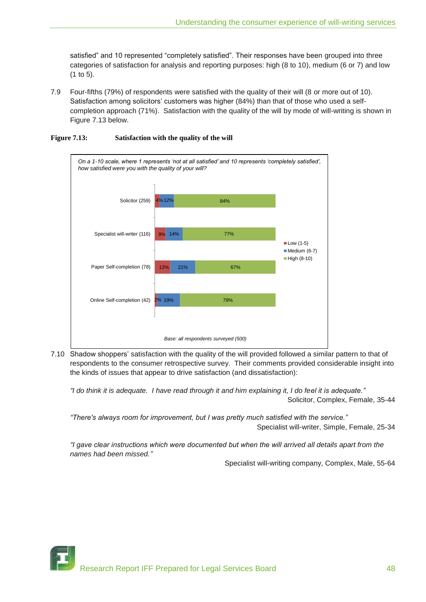satisfied" and 10 represented "completely satisfied". Their responses have been grouped into three categories of satisfaction for analysis and reporting purposes: high (8 to 10), medium (6 or 7) and low (1 to 5).

7.9 Four-fifths (79%) of respondents were satisfied with the quality of their will (8 or more out of 10). Satisfaction among solicitors' customers was higher (84%) than that of those who used a selfcompletion approach (71%). Satisfaction with the quality of the will by mode of will-writing is shown in Figure 7.13 below.



## **Figure 7.13: Satisfaction with the quality of the will**

7.10 Shadow shoppers" satisfaction with the quality of the will provided followed a similar pattern to that of respondents to the consumer retrospective survey. Their comments provided considerable insight into the kinds of issues that appear to drive satisfaction (and dissatisfaction):

*"I do think it is adequate. I have read through it and him explaining it, I do feel it is adequate."* Solicitor, Complex, Female, 35-44

*"There's always room for improvement, but I was pretty much satisfied with the service."* Specialist will-writer, Simple, Female, 25-34

*"I gave clear instructions which were documented but when the will arrived all details apart from the names had been missed."*

Specialist will-writing company, Complex, Male, 55-64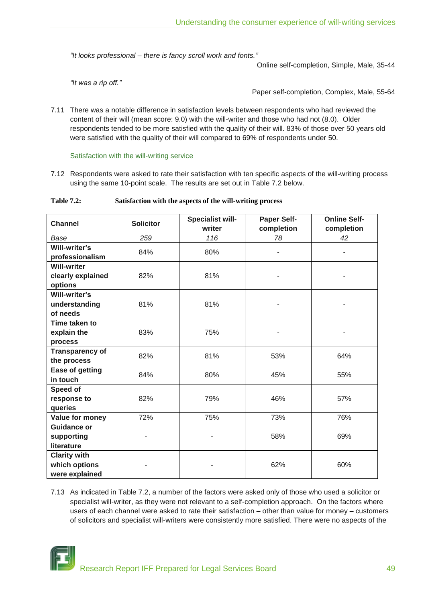*"It looks professional – there is fancy scroll work and fonts."*

Online self-completion, Simple, Male, 35-44

*"It was a rip off."*

Paper self-completion, Complex, Male, 55-64

7.11 There was a notable difference in satisfaction levels between respondents who had reviewed the content of their will (mean score: 9.0) with the will-writer and those who had not (8.0). Older respondents tended to be more satisfied with the quality of their will. 83% of those over 50 years old were satisfied with the quality of their will compared to 69% of respondents under 50.

Satisfaction with the will-writing service

7.12 Respondents were asked to rate their satisfaction with ten specific aspects of the will-writing process using the same 10-point scale. The results are set out in Table 7.2 below.

**Table 7.2: Satisfaction with the aspects of the will-writing process**

| <b>Channel</b>                                         | <b>Solicitor</b> | Specialist will-<br>writer | <b>Paper Self-</b><br>completion | <b>Online Self-</b><br>completion |
|--------------------------------------------------------|------------------|----------------------------|----------------------------------|-----------------------------------|
| Base                                                   | 259              | 116                        | 78                               | 42                                |
| Will-writer's<br>professionalism                       | 84%              | 80%                        |                                  | ٠                                 |
| <b>Will-writer</b><br>clearly explained<br>options     | 82%              | 81%                        |                                  |                                   |
| Will-writer's<br>understanding<br>of needs             | 81%              | 81%                        |                                  |                                   |
| Time taken to<br>explain the<br>process                | 83%              | 75%                        |                                  |                                   |
| <b>Transparency of</b><br>the process                  | 82%              | 81%                        | 53%                              | 64%                               |
| Ease of getting<br>in touch                            | 84%              | 80%                        | 45%                              | 55%                               |
| Speed of<br>response to<br>queries                     | 82%              | 79%                        | 46%                              | 57%                               |
| Value for money                                        | 72%              | 75%                        | 73%                              | 76%                               |
| <b>Guidance or</b><br>supporting<br>literature         |                  |                            | 58%                              | 69%                               |
| <b>Clarity with</b><br>which options<br>were explained |                  |                            | 62%                              | 60%                               |

7.13 As indicated in Table 7.2, a number of the factors were asked only of those who used a solicitor or specialist will-writer, as they were not relevant to a self-completion approach. On the factors where users of each channel were asked to rate their satisfaction – other than value for money – customers of solicitors and specialist will-writers were consistently more satisfied. There were no aspects of the

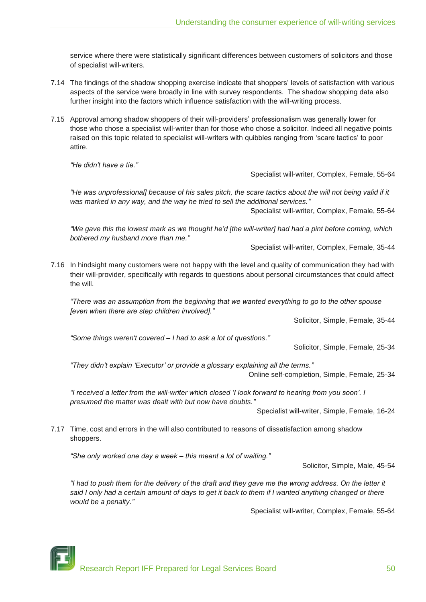service where there were statistically significant differences between customers of solicitors and those of specialist will-writers.

- 7.14 The findings of the shadow shopping exercise indicate that shoppers" levels of satisfaction with various aspects of the service were broadly in line with survey respondents. The shadow shopping data also further insight into the factors which influence satisfaction with the will-writing process.
- 7.15 Approval among shadow shoppers of their will-providers" professionalism was generally lower for those who chose a specialist will-writer than for those who chose a solicitor. Indeed all negative points raised on this topic related to specialist will-writers with quibbles ranging from "scare tactics" to poor attire.

*"He didn't have a tie."*

Specialist will-writer, Complex, Female, 55-64

*"He was unprofessional] because of his sales pitch, the scare tactics about the will not being valid if it was marked in any way, and the way he tried to sell the additional services."*

Specialist will-writer, Complex, Female, 55-64

*"We gave this the lowest mark as we thought he"d [the will-writer] had had a pint before coming, which bothered my husband more than me."*

Specialist will-writer, Complex, Female, 35-44

7.16 In hindsight many customers were not happy with the level and quality of communication they had with their will-provider, specifically with regards to questions about personal circumstances that could affect the will.

*"There was an assumption from the beginning that we wanted everything to go to the other spouse [even when there are step children involved]."*

Solicitor, Simple, Female, 35-44

*"Some things weren't covered – I had to ask a lot of questions."*

Solicitor, Simple, Female, 25-34

*"They didn"t explain "Executor" or provide a glossary explaining all the terms."*

Online self-completion, Simple, Female, 25-34

*"I received a letter from the will-writer which closed "I look forward to hearing from you soon". I presumed the matter was dealt with but now have doubts."*

Specialist will-writer, Simple, Female, 16-24

7.17 Time, cost and errors in the will also contributed to reasons of dissatisfaction among shadow shoppers.

*"She only worked one day a week – this meant a lot of waiting."*

Solicitor, Simple, Male, 45-54

*"I had to push them for the delivery of the draft and they gave me the wrong address. On the letter it*  said I only had a certain amount of days to get it back to them if I wanted anything changed or there *would be a penalty."*

Specialist will-writer, Complex, Female, 55-64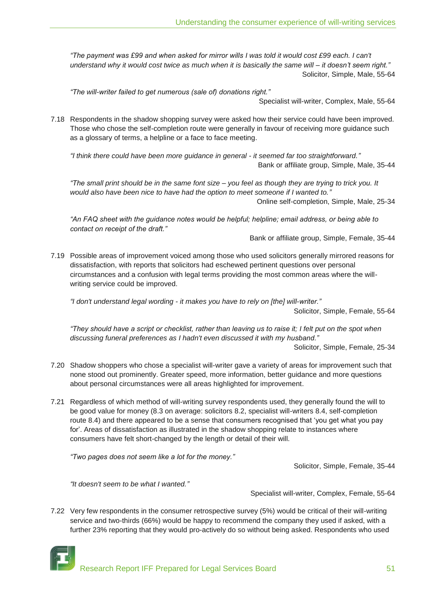*"The payment was £99 and when asked for mirror wills I was told it would cost £99 each. I can't understand why it would cost twice as much when it is basically the same will – it doesn"t seem right."* Solicitor, Simple, Male, 55-64

*"The will-writer failed to get numerous (sale of) donations right."*

Specialist will-writer, Complex, Male, 55-64

7.18 Respondents in the shadow shopping survey were asked how their service could have been improved. Those who chose the self-completion route were generally in favour of receiving more guidance such as a glossary of terms, a helpline or a face to face meeting.

*"I think there could have been more guidance in general - it seemed far too straightforward."* Bank or affiliate group, Simple, Male, 35-44

*"The small print should be in the same font size – you feel as though they are trying to trick you. It would also have been nice to have had the option to meet someone if I wanted to."* Online self-completion, Simple, Male, 25-34

*"An FAQ sheet with the guidance notes would be helpful; helpline; email address, or being able to contact on receipt of the draft."*

Bank or affiliate group, Simple, Female, 35-44

7.19 Possible areas of improvement voiced among those who used solicitors generally mirrored reasons for dissatisfaction, with reports that solicitors had eschewed pertinent questions over personal circumstances and a confusion with legal terms providing the most common areas where the willwriting service could be improved.

*"I don't understand legal wording - it makes you have to rely on [the] will-writer."*

Solicitor, Simple, Female, 55-64

*"They should have a script or checklist, rather than leaving us to raise it; I felt put on the spot when discussing funeral preferences as I hadn't even discussed it with my husband."*

Solicitor, Simple, Female, 25-34

- 7.20 Shadow shoppers who chose a specialist will-writer gave a variety of areas for improvement such that none stood out prominently. Greater speed, more information, better guidance and more questions about personal circumstances were all areas highlighted for improvement.
- 7.21 Regardless of which method of will-writing survey respondents used, they generally found the will to be good value for money (8.3 on average: solicitors 8.2, specialist will-writers 8.4, self-completion route 8.4) and there appeared to be a sense that consumers recognised that 'you get what you pay for'. Areas of dissatisfaction as illustrated in the shadow shopping relate to instances where consumers have felt short-changed by the length or detail of their will.

*"Two pages does not seem like a lot for the money."*

Solicitor, Simple, Female, 35-44

*"It doesn't seem to be what I wanted."*

Specialist will-writer, Complex, Female, 55-64

7.22 Very few respondents in the consumer retrospective survey (5%) would be critical of their will-writing service and two-thirds (66%) would be happy to recommend the company they used if asked, with a further 23% reporting that they would pro-actively do so without being asked. Respondents who used



Research Report IFF Prepared for Legal Services Board 51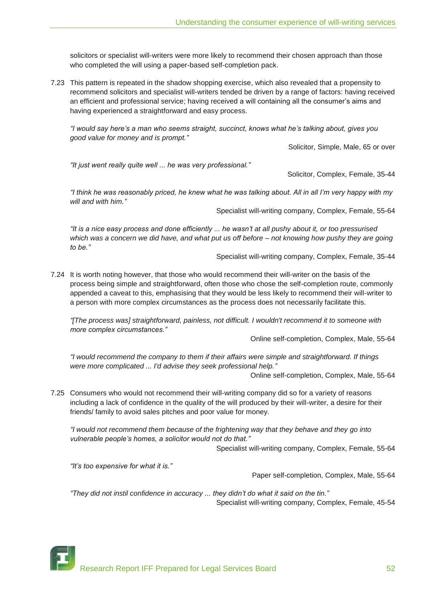solicitors or specialist will-writers were more likely to recommend their chosen approach than those who completed the will using a paper-based self-completion pack.

7.23 This pattern is repeated in the shadow shopping exercise, which also revealed that a propensity to recommend solicitors and specialist will-writers tended be driven by a range of factors: having received an efficient and professional service; having received a will containing all the consumer"s aims and having experienced a straightforward and easy process.

*"I would say here"s a man who seems straight, succinct, knows what he"s talking about, gives you good value for money and is prompt."*

Solicitor, Simple, Male, 65 or over

*"It just went really quite well ... he was very professional."*

Solicitor, Complex, Female, 35-44

*"I think he was reasonably priced, he knew what he was talking about. All in all I"m very happy with my will and with him."*

Specialist will-writing company, Complex, Female, 55-64

*"It is a nice easy process and done efficiently ... he wasn"t at all pushy about it, or too pressurised which was a concern we did have, and what put us off before – not knowing how pushy they are going to be."*

Specialist will-writing company, Complex, Female, 35-44

7.24 It is worth noting however, that those who would recommend their will-writer on the basis of the process being simple and straightforward, often those who chose the self-completion route, commonly appended a caveat to this, emphasising that they would be less likely to recommend their will-writer to a person with more complex circumstances as the process does not necessarily facilitate this.

*"[The process was] straightforward, painless, not difficult. I wouldn't recommend it to someone with more complex circumstances."*

Online self-completion, Complex, Male, 55-64

*"I would recommend the company to them if their affairs were simple and straightforward. If things were more complicated ... I'd advise they seek professional help."*

Online self-completion, Complex, Male, 55-64

7.25 Consumers who would not recommend their will-writing company did so for a variety of reasons including a lack of confidence in the quality of the will produced by their will-writer, a desire for their friends/ family to avoid sales pitches and poor value for money.

*"I would not recommend them because of the frightening way that they behave and they go into vulnerable people"s homes, a solicitor would not do that."*

Specialist will-writing company, Complex, Female, 55-64

*"It"s too expensive for what it is."*

Paper self-completion, Complex, Male, 55-64

*"They did not instil confidence in accuracy ... they didn"t do what it said on the tin."* Specialist will-writing company, Complex, Female, 45-54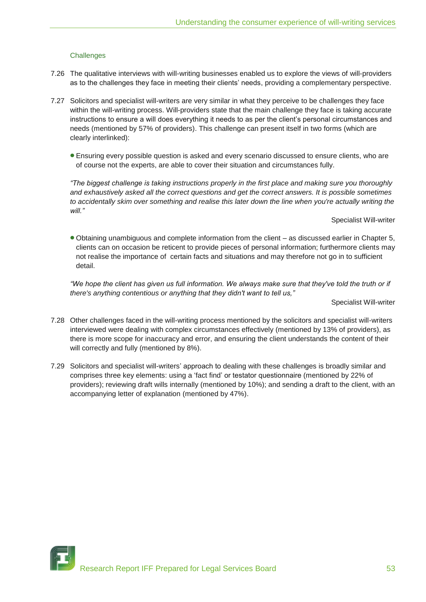## **Challenges**

- 7.26 The qualitative interviews with will-writing businesses enabled us to explore the views of will-providers as to the challenges they face in meeting their clients" needs, providing a complementary perspective.
- 7.27 Solicitors and specialist will-writers are very similar in what they perceive to be challenges they face within the will-writing process. Will-providers state that the main challenge they face is taking accurate instructions to ensure a will does everything it needs to as per the client"s personal circumstances and needs (mentioned by 57% of providers). This challenge can present itself in two forms (which are clearly interlinked):
	- Ensuring every possible question is asked and every scenario discussed to ensure clients, who are of course not the experts, are able to cover their situation and circumstances fully.

*"The biggest challenge is taking instructions properly in the first place and making sure you thoroughly and exhaustively asked all the correct questions and get the correct answers. It is possible sometimes to accidentally skim over something and realise this later down the line when you're actually writing the will."*

Specialist Will-writer

Obtaining unambiguous and complete information from the client – as discussed earlier in Chapter 5, clients can on occasion be reticent to provide pieces of personal information; furthermore clients may not realise the importance of certain facts and situations and may therefore not go in to sufficient detail.

*"We hope the client has given us full information. We always make sure that they've told the truth or if there's anything contentious or anything that they didn't want to tell us,"*

Specialist Will-writer

- 7.28 Other challenges faced in the will-writing process mentioned by the solicitors and specialist will-writers interviewed were dealing with complex circumstances effectively (mentioned by 13% of providers), as there is more scope for inaccuracy and error, and ensuring the client understands the content of their will correctly and fully (mentioned by 8%).
- 7.29 Solicitors and specialist will-writers" approach to dealing with these challenges is broadly similar and comprises three key elements: using a "fact find" or testator questionnaire (mentioned by 22% of providers); reviewing draft wills internally (mentioned by 10%); and sending a draft to the client, with an accompanying letter of explanation (mentioned by 47%).

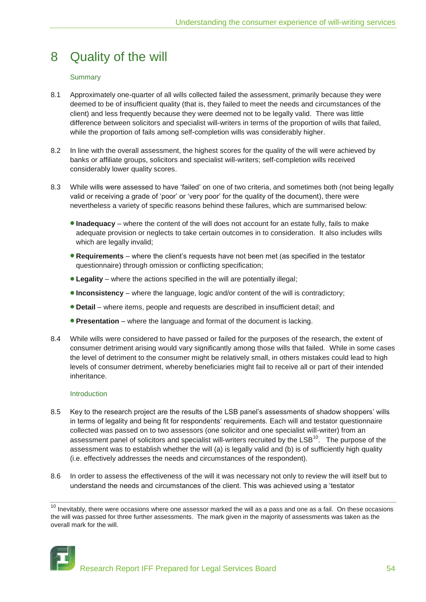## 8 Quality of the will

## **Summary**

- 8.1 Approximately one-quarter of all wills collected failed the assessment, primarily because they were deemed to be of insufficient quality (that is, they failed to meet the needs and circumstances of the client) and less frequently because they were deemed not to be legally valid. There was little difference between solicitors and specialist will-writers in terms of the proportion of wills that failed, while the proportion of fails among self-completion wills was considerably higher.
- 8.2 In line with the overall assessment, the highest scores for the quality of the will were achieved by banks or affiliate groups, solicitors and specialist will-writers; self-completion wills received considerably lower quality scores.
- 8.3 While wills were assessed to have "failed" on one of two criteria, and sometimes both (not being legally valid or receiving a grade of "poor" or "very poor" for the quality of the document), there were nevertheless a variety of specific reasons behind these failures, which are summarised below:
	- **Inadequacy** where the content of the will does not account for an estate fully, fails to make adequate provision or neglects to take certain outcomes in to consideration. It also includes wills which are legally invalid;
	- **Requirements** where the client"s requests have not been met (as specified in the testator questionnaire) through omission or conflicting specification;
	- **Legality** where the actions specified in the will are potentially illegal;
	- **Inconsistency** where the language, logic and/or content of the will is contradictory;
	- **Detail** where items, people and requests are described in insufficient detail; and
	- **Presentation** where the language and format of the document is lacking.
- 8.4 While wills were considered to have passed or failed for the purposes of the research, the extent of consumer detriment arising would vary significantly among those wills that failed. While in some cases the level of detriment to the consumer might be relatively small, in others mistakes could lead to high levels of consumer detriment, whereby beneficiaries might fail to receive all or part of their intended inheritance.

## Introduction

- 8.5 Key to the research project are the results of the LSB panel's assessments of shadow shoppers' wills in terms of legality and being fit for respondents' requirements. Each will and testator questionnaire collected was passed on to two assessors (one solicitor and one specialist will-writer) from an assessment panel of solicitors and specialist will-writers recruited by the LSB<sup>10</sup>. The purpose of the assessment was to establish whether the will (a) is legally valid and (b) is of sufficiently high quality (i.e. effectively addresses the needs and circumstances of the respondent).
- 8.6 In order to assess the effectiveness of the will it was necessary not only to review the will itself but to understand the needs and circumstances of the client. This was achieved using a "testator

 $10$  Inevitably, there were occasions where one assessor marked the will as a pass and one as a fail. On these occasions the will was passed for three further assessments. The mark given in the majority of assessments was taken as the overall mark for the will.

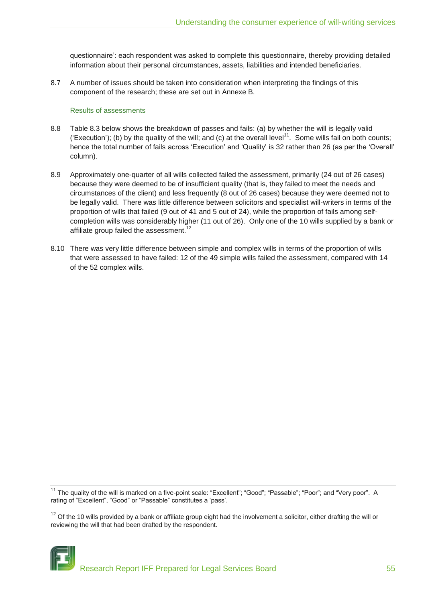questionnaire": each respondent was asked to complete this questionnaire, thereby providing detailed information about their personal circumstances, assets, liabilities and intended beneficiaries.

8.7 A number of issues should be taken into consideration when interpreting the findings of this component of the research; these are set out in Annexe B.

## Results of assessments

- 8.8 Table 8.3 below shows the breakdown of passes and fails: (a) by whether the will is legally valid ('Execution'); (b) by the quality of the will; and (c) at the overall level<sup>11</sup>. Some wills fail on both counts; hence the total number of fails across 'Execution' and 'Quality' is 32 rather than 26 (as per the 'Overall' column).
- 8.9 Approximately one-quarter of all wills collected failed the assessment, primarily (24 out of 26 cases) because they were deemed to be of insufficient quality (that is, they failed to meet the needs and circumstances of the client) and less frequently (8 out of 26 cases) because they were deemed not to be legally valid. There was little difference between solicitors and specialist will-writers in terms of the proportion of wills that failed (9 out of 41 and 5 out of 24), while the proportion of fails among selfcompletion wills was considerably higher (11 out of 26). Only one of the 10 wills supplied by a bank or affiliate group failed the assessment.<sup>12</sup>
- 8.10 There was very little difference between simple and complex wills in terms of the proportion of wills that were assessed to have failed: 12 of the 49 simple wills failed the assessment, compared with 14 of the 52 complex wills.

 $12$  Of the 10 wills provided by a bank or affiliate group eight had the involvement a solicitor, either drafting the will or reviewing the will that had been drafted by the respondent.



<sup>&</sup>lt;sup>11</sup> The quality of the will is marked on a five-point scale: "Excellent"; "Good"; "Passable"; "Poor"; and "Very poor". A rating of "Excellent", "Good" or "Passable" constitutes a "pass".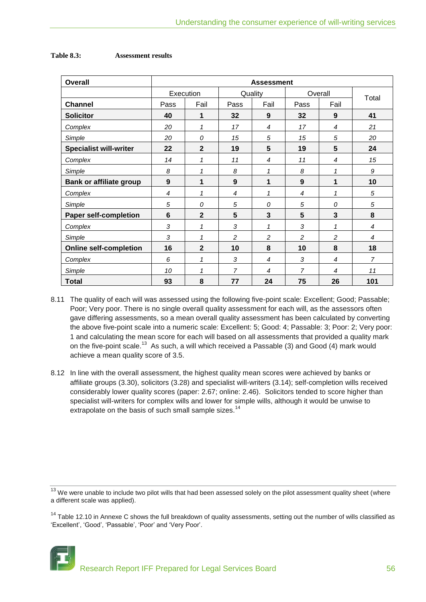| <b>Overall</b>                 | <b>Assessment</b> |                |                |                |                |                |                |
|--------------------------------|-------------------|----------------|----------------|----------------|----------------|----------------|----------------|
|                                |                   | Execution      |                | Quality        | Overall        |                | Total          |
| <b>Channel</b>                 | Pass              | Fail           | Pass           | Fail           | Pass           | Fail           |                |
| <b>Solicitor</b>               | 40                | 1              | 32             | 9              | 32             | 9              | 41             |
| Complex                        | 20                | 1              | 17             | $\overline{4}$ | 17             | $\overline{4}$ | 21             |
| Simple                         | 20                | 0              | 15             | 5              | 15             | 5              | 20             |
| <b>Specialist will-writer</b>  | 22                | $\mathbf{2}$   | 19             | 5              | 19             | 5              | 24             |
| Complex                        | 14                | 1              | 11             | 4              | 11             | 4              | 15             |
| Simple                         | 8                 | 1              | 8              | 1              | 8              | 1              | 9              |
| <b>Bank or affiliate group</b> | $\boldsymbol{9}$  | 1              | 9              | 1              | 9              | 1              | 10             |
| Complex                        | $\overline{4}$    | 1              | 4              | 1              | 4              | 1              | 5              |
| Simple                         | 5                 | 0              | 5              | 0              | 5              | 0              | 5              |
| <b>Paper self-completion</b>   | $6\phantom{1}$    | $\overline{2}$ | 5              | 3              | 5              | 3              | 8              |
| Complex                        | 3                 | 1              | 3              | 1              | 3              | 1              | $\overline{4}$ |
| Simple                         | 3                 | 1              | 2              | 2              | $\overline{c}$ | 2              | 4              |
| <b>Online self-completion</b>  | 16                | $\overline{2}$ | 10             | 8              | 10             | 8              | 18             |
| Complex                        | 6                 | 1              | 3              | $\overline{4}$ | 3              | 4              | $\overline{7}$ |
| Simple                         | 10                | 1              | $\overline{7}$ | 4              | $\overline{7}$ | 4              | 11             |
| <b>Total</b>                   | 93                | 8              | 77             | 24             | 75             | 26             | 101            |

## **Table 8.3: Assessment results**

- 8.11 The quality of each will was assessed using the following five-point scale: Excellent; Good; Passable; Poor; Very poor. There is no single overall quality assessment for each will, as the assessors often gave differing assessments, so a mean overall quality assessment has been calculated by converting the above five-point scale into a numeric scale: Excellent: 5; Good: 4; Passable: 3; Poor: 2; Very poor: 1 and calculating the mean score for each will based on all assessments that provided a quality mark on the five-point scale.<sup>13</sup> As such, a will which received a Passable (3) and Good (4) mark would achieve a mean quality score of 3.5.
- 8.12 In line with the overall assessment, the highest quality mean scores were achieved by banks or affiliate groups (3.30), solicitors (3.28) and specialist will-writers (3.14); self-completion wills received considerably lower quality scores (paper: 2.67; online: 2.46). Solicitors tended to score higher than specialist will-writers for complex wills and lower for simple wills, although it would be unwise to extrapolate on the basis of such small sample sizes.<sup>14</sup>

<sup>&</sup>lt;sup>13</sup> We were unable to include two pilot wills that had been assessed solely on the pilot assessment quality sheet (where a different scale was applied).

 $14$  Table 12.10 in Annexe C shows the full breakdown of quality assessments, setting out the number of wills classified as 'Excellent', 'Good', 'Passable', 'Poor' and 'Very Poor'.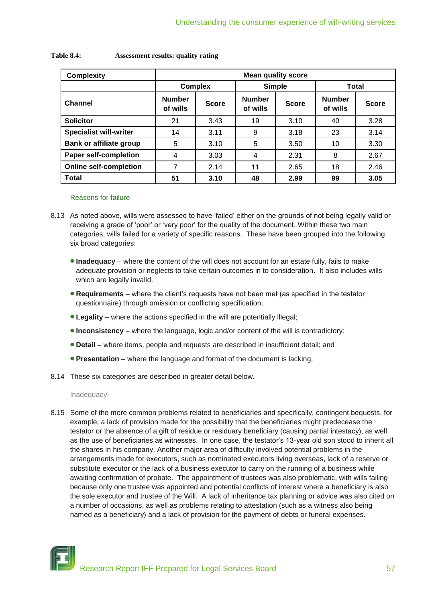| <b>Complexity</b>              | <b>Mean quality score</b> |                |                           |              |                           |              |  |  |
|--------------------------------|---------------------------|----------------|---------------------------|--------------|---------------------------|--------------|--|--|
|                                |                           | <b>Complex</b> | <b>Simple</b>             |              | Total                     |              |  |  |
| <b>Channel</b>                 | <b>Number</b><br>of wills | <b>Score</b>   | <b>Number</b><br>of wills | <b>Score</b> | <b>Number</b><br>of wills | <b>Score</b> |  |  |
| <b>Solicitor</b>               | 21                        | 3.43           | 19                        | 3.10         | 40                        | 3.28         |  |  |
| <b>Specialist will-writer</b>  | 14                        | 3.11           | 9                         | 3.18         | 23                        | 3.14         |  |  |
| <b>Bank or affiliate group</b> | 5                         | 3.10           | 5                         | 3.50         | 10                        | 3.30         |  |  |
| <b>Paper self-completion</b>   | 4                         | 3.03           | 4                         | 2.31         | 8                         | 2.67         |  |  |
| <b>Online self-completion</b>  | 7                         | 2.14           | 11                        | 2.65         | 18                        | 2.46         |  |  |
| Total                          | 51                        | 3.10           | 48                        | 2.99         | 99                        | 3.05         |  |  |

## **Table 8.4: Assessment results: quality rating**

#### Reasons for failure

- 8.13 As noted above, wills were assessed to have "failed" either on the grounds of not being legally valid or receiving a grade of "poor" or "very poor" for the quality of the document. Within these two main categories, wills failed for a variety of specific reasons. These have been grouped into the following six broad categories:
	- **Inadequacy** where the content of the will does not account for an estate fully, fails to make adequate provision or neglects to take certain outcomes in to consideration. It also includes wills which are legally invalid.
	- **Requirements** where the client"s requests have not been met (as specified in the testator questionnaire) through omission or conflicting specification.
	- **Legality** where the actions specified in the will are potentially illegal;
	- **Inconsistency** where the language, logic and/or content of the will is contradictory;
	- **Detail** where items, people and requests are described in insufficient detail; and
	- **Presentation** where the language and format of the document is lacking.
- 8.14 These six categories are described in greater detail below.

Inadequacy

8.15 Some of the more common problems related to beneficiaries and specifically, contingent bequests, for example, a lack of provision made for the possibility that the beneficiaries might predecease the testator or the absence of a gift of residue or residuary beneficiary (causing partial intestacy), as well as the use of beneficiaries as witnesses. In one case, the testator's 13-year old son stood to inherit all the shares in his company. Another major area of difficulty involved potential problems in the arrangements made for executors, such as nominated executors living overseas, lack of a reserve or substitute executor or the lack of a business executor to carry on the running of a business while awaiting confirmation of probate. The appointment of trustees was also problematic, with wills failing because only one trustee was appointed and potential conflicts of interest where a beneficiary is also the sole executor and trustee of the Will. A lack of inheritance tax planning or advice was also cited on a number of occasions, as well as problems relating to attestation (such as a witness also being named as a beneficiary) and a lack of provision for the payment of debts or funeral expenses.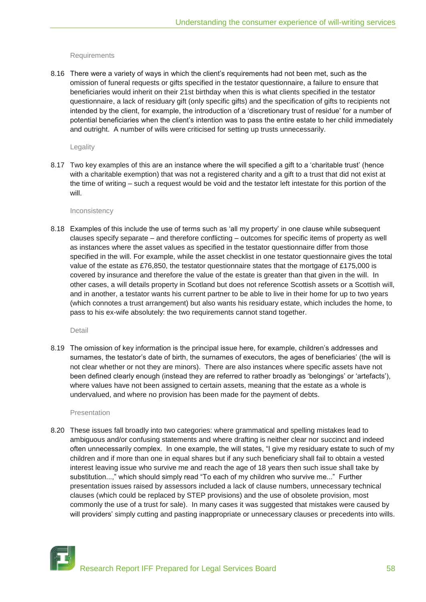#### **Requirements**

8.16 There were a variety of ways in which the client"s requirements had not been met, such as the omission of funeral requests or gifts specified in the testator questionnaire, a failure to ensure that beneficiaries would inherit on their 21st birthday when this is what clients specified in the testator questionnaire, a lack of residuary gift (only specific gifts) and the specification of gifts to recipients not intended by the client, for example, the introduction of a "discretionary trust of residue" for a number of potential beneficiaries when the client"s intention was to pass the entire estate to her child immediately and outright. A number of wills were criticised for setting up trusts unnecessarily.

#### Legality

8.17 Two key examples of this are an instance where the will specified a gift to a 'charitable trust' (hence with a charitable exemption) that was not a registered charity and a gift to a trust that did not exist at the time of writing – such a request would be void and the testator left intestate for this portion of the will.

#### Inconsistency

8.18 Examples of this include the use of terms such as "all my property" in one clause while subsequent clauses specify separate – and therefore conflicting – outcomes for specific items of property as well as instances where the asset values as specified in the testator questionnaire differ from those specified in the will. For example, while the asset checklist in one testator questionnaire gives the total value of the estate as £76,850, the testator questionnaire states that the mortgage of £175,000 is covered by insurance and therefore the value of the estate is greater than that given in the will. In other cases, a will details property in Scotland but does not reference Scottish assets or a Scottish will, and in another, a testator wants his current partner to be able to live in their home for up to two years (which connotes a trust arrangement) but also wants his residuary estate, which includes the home, to pass to his ex-wife absolutely: the two requirements cannot stand together.

Detail

8.19 The omission of key information is the principal issue here, for example, children's addresses and surnames, the testator's date of birth, the surnames of executors, the ages of beneficiaries' (the will is not clear whether or not they are minors). There are also instances where specific assets have not been defined clearly enough (instead they are referred to rather broadly as "belongings" or "artefacts"), where values have not been assigned to certain assets, meaning that the estate as a whole is undervalued, and where no provision has been made for the payment of debts.

## Presentation

8.20 These issues fall broadly into two categories: where grammatical and spelling mistakes lead to ambiguous and/or confusing statements and where drafting is neither clear nor succinct and indeed often unnecessarily complex. In one example, the will states, "I give my residuary estate to such of my children and if more than one in equal shares but if any such beneficiary shall fail to obtain a vested interest leaving issue who survive me and reach the age of 18 years then such issue shall take by substitution...," which should simply read "To each of my children who survive me..." Further presentation issues raised by assessors included a lack of clause numbers, unnecessary technical clauses (which could be replaced by STEP provisions) and the use of obsolete provision, most commonly the use of a trust for sale). In many cases it was suggested that mistakes were caused by will providers' simply cutting and pasting inappropriate or unnecessary clauses or precedents into wills.

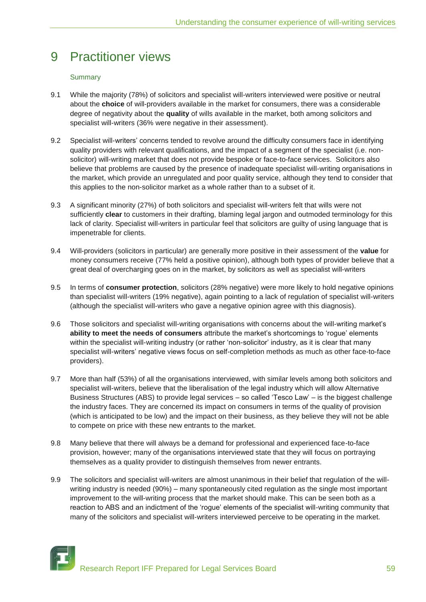## 9 Practitioner views

## **Summary**

- 9.1 While the majority (78%) of solicitors and specialist will-writers interviewed were positive or neutral about the **choice** of will-providers available in the market for consumers, there was a considerable degree of negativity about the **quality** of wills available in the market, both among solicitors and specialist will-writers (36% were negative in their assessment).
- 9.2 Specialist will-writers" concerns tended to revolve around the difficulty consumers face in identifying quality providers with relevant qualifications, and the impact of a segment of the specialist (i.e. nonsolicitor) will-writing market that does not provide bespoke or face-to-face services. Solicitors also believe that problems are caused by the presence of inadequate specialist will-writing organisations in the market, which provide an unregulated and poor quality service, although they tend to consider that this applies to the non-solicitor market as a whole rather than to a subset of it.
- 9.3 A significant minority (27%) of both solicitors and specialist will-writers felt that wills were not sufficiently **clear** to customers in their drafting, blaming legal jargon and outmoded terminology for this lack of clarity. Specialist will-writers in particular feel that solicitors are guilty of using language that is impenetrable for clients.
- 9.4 Will-providers (solicitors in particular) are generally more positive in their assessment of the **value** for money consumers receive (77% held a positive opinion), although both types of provider believe that a great deal of overcharging goes on in the market, by solicitors as well as specialist will-writers
- 9.5 In terms of **consumer protection**, solicitors (28% negative) were more likely to hold negative opinions than specialist will-writers (19% negative), again pointing to a lack of regulation of specialist will-writers (although the specialist will-writers who gave a negative opinion agree with this diagnosis).
- 9.6 Those solicitors and specialist will-writing organisations with concerns about the will-writing market's **ability to meet the needs of consumers** attribute the market"s shortcomings to "rogue" elements within the specialist will-writing industry (or rather 'non-solicitor' industry, as it is clear that many specialist will-writers' negative views focus on self-completion methods as much as other face-to-face providers).
- 9.7 More than half (53%) of all the organisations interviewed, with similar levels among both solicitors and specialist will-writers, believe that the liberalisation of the legal industry which will allow Alternative Business Structures (ABS) to provide legal services – so called "Tesco Law" – is the biggest challenge the industry faces. They are concerned its impact on consumers in terms of the quality of provision (which is anticipated to be low) and the impact on their business, as they believe they will not be able to compete on price with these new entrants to the market.
- 9.8 Many believe that there will always be a demand for professional and experienced face-to-face provision, however; many of the organisations interviewed state that they will focus on portraying themselves as a quality provider to distinguish themselves from newer entrants.
- 9.9 The solicitors and specialist will-writers are almost unanimous in their belief that regulation of the willwriting industry is needed (90%) – many spontaneously cited regulation as the single most important improvement to the will-writing process that the market should make. This can be seen both as a reaction to ABS and an indictment of the "rogue" elements of the specialist will-writing community that many of the solicitors and specialist will-writers interviewed perceive to be operating in the market.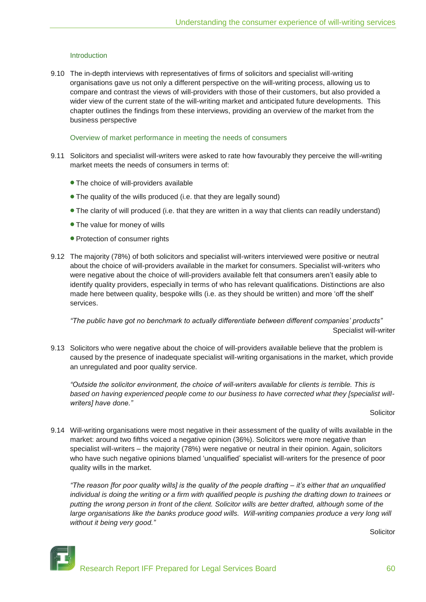## Introduction

9.10 The in-depth interviews with representatives of firms of solicitors and specialist will-writing organisations gave us not only a different perspective on the will-writing process, allowing us to compare and contrast the views of will-providers with those of their customers, but also provided a wider view of the current state of the will-writing market and anticipated future developments. This chapter outlines the findings from these interviews, providing an overview of the market from the business perspective

#### Overview of market performance in meeting the needs of consumers

- 9.11 Solicitors and specialist will-writers were asked to rate how favourably they perceive the will-writing market meets the needs of consumers in terms of:
	- The choice of will-providers available
	- The quality of the wills produced (i.e. that they are legally sound)
	- The clarity of will produced (i.e. that they are written in a way that clients can readily understand)
	- The value for money of wills
	- Protection of consumer rights
- 9.12 The majority (78%) of both solicitors and specialist will-writers interviewed were positive or neutral about the choice of will-providers available in the market for consumers. Specialist will-writers who were negative about the choice of will-providers available felt that consumers aren"t easily able to identify quality providers, especially in terms of who has relevant qualifications. Distinctions are also made here between quality, bespoke wills (i.e. as they should be written) and more "off the shelf" services.

*"The public have got no benchmark to actually differentiate between different companies" products"* Specialist will-writer

9.13 Solicitors who were negative about the choice of will-providers available believe that the problem is caused by the presence of inadequate specialist will-writing organisations in the market, which provide an unregulated and poor quality service.

*"Outside the solicitor environment, the choice of will-writers available for clients is terrible. This is based on having experienced people come to our business to have corrected what they [specialist willwriters] have done."*

**Solicitor** 

9.14 Will-writing organisations were most negative in their assessment of the quality of wills available in the market: around two fifths voiced a negative opinion (36%). Solicitors were more negative than specialist will-writers – the majority (78%) were negative or neutral in their opinion. Again, solicitors who have such negative opinions blamed "unqualified" specialist will-writers for the presence of poor quality wills in the market.

*"The reason [for poor quality wills] is the quality of the people drafting – it"s either that an unqualified individual is doing the writing or a firm with qualified people is pushing the drafting down to trainees or putting the wrong person in front of the client. Solicitor wills are better drafted, although some of the large organisations like the banks produce good wills. Will-writing companies produce a very long will without it being very good."*

**Solicitor**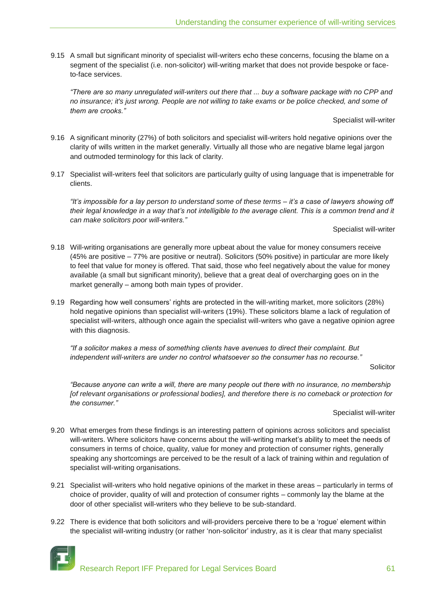9.15 A small but significant minority of specialist will-writers echo these concerns, focusing the blame on a segment of the specialist (i.e. non-solicitor) will-writing market that does not provide bespoke or faceto-face services.

*"There are so many unregulated will-writers out there that ... buy a software package with no CPP and no insurance; it's just wrong. People are not willing to take exams or be police checked, and some of them are crooks."*

Specialist will-writer

- 9.16 A significant minority (27%) of both solicitors and specialist will-writers hold negative opinions over the clarity of wills written in the market generally. Virtually all those who are negative blame legal jargon and outmoded terminology for this lack of clarity.
- 9.17 Specialist will-writers feel that solicitors are particularly guilty of using language that is impenetrable for clients.

*"It"s impossible for a lay person to understand some of these terms – it"s a case of lawyers showing off their legal knowledge in a way that"s not intelligible to the average client. This is a common trend and it can make solicitors poor will-writers."*

Specialist will-writer

- 9.18 Will-writing organisations are generally more upbeat about the value for money consumers receive (45% are positive – 77% are positive or neutral). Solicitors (50% positive) in particular are more likely to feel that value for money is offered. That said, those who feel negatively about the value for money available (a small but significant minority), believe that a great deal of overcharging goes on in the market generally – among both main types of provider.
- 9.19 Regarding how well consumers' rights are protected in the will-writing market, more solicitors (28%) hold negative opinions than specialist will-writers (19%). These solicitors blame a lack of regulation of specialist will-writers, although once again the specialist will-writers who gave a negative opinion agree with this diagnosis.

*"If a solicitor makes a mess of something clients have avenues to direct their complaint. But independent will-writers are under no control whatsoever so the consumer has no recourse."*

**Solicitor** 

*"Because anyone can write a will, there are many people out there with no insurance, no membership [of relevant organisations or professional bodies], and therefore there is no comeback or protection for the consumer."*

Specialist will-writer

- 9.20 What emerges from these findings is an interesting pattern of opinions across solicitors and specialist will-writers. Where solicitors have concerns about the will-writing market's ability to meet the needs of consumers in terms of choice, quality, value for money and protection of consumer rights, generally speaking any shortcomings are perceived to be the result of a lack of training within and regulation of specialist will-writing organisations.
- 9.21 Specialist will-writers who hold negative opinions of the market in these areas particularly in terms of choice of provider, quality of will and protection of consumer rights – commonly lay the blame at the door of other specialist will-writers who they believe to be sub-standard.
- 9.22 There is evidence that both solicitors and will-providers perceive there to be a 'roque' element within the specialist will-writing industry (or rather "non-solicitor" industry, as it is clear that many specialist

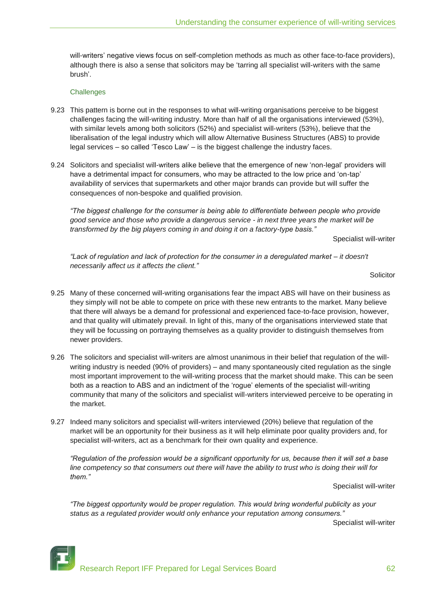will-writers' negative views focus on self-completion methods as much as other face-to-face providers), although there is also a sense that solicitors may be "tarring all specialist will-writers with the same brush".

#### **Challenges**

- 9.23 This pattern is borne out in the responses to what will-writing organisations perceive to be biggest challenges facing the will-writing industry. More than half of all the organisations interviewed (53%), with similar levels among both solicitors (52%) and specialist will-writers (53%), believe that the liberalisation of the legal industry which will allow Alternative Business Structures (ABS) to provide legal services – so called "Tesco Law" – is the biggest challenge the industry faces.
- 9.24 Solicitors and specialist will-writers alike believe that the emergence of new "non-legal" providers will have a detrimental impact for consumers, who may be attracted to the low price and 'on-tap' availability of services that supermarkets and other major brands can provide but will suffer the consequences of non-bespoke and qualified provision.

*"The biggest challenge for the consumer is being able to differentiate between people who provide good service and those who provide a dangerous service - in next three years the market will be transformed by the big players coming in and doing it on a factory-type basis."*

Specialist will-writer

*"Lack of regulation and lack of protection for the consumer in a deregulated market – it doesn't necessarily affect us it affects the client."*

**Solicitor** 

- 9.25 Many of these concerned will-writing organisations fear the impact ABS will have on their business as they simply will not be able to compete on price with these new entrants to the market. Many believe that there will always be a demand for professional and experienced face-to-face provision, however, and that quality will ultimately prevail. In light of this, many of the organisations interviewed state that they will be focussing on portraying themselves as a quality provider to distinguish themselves from newer providers.
- 9.26 The solicitors and specialist will-writers are almost unanimous in their belief that regulation of the willwriting industry is needed (90% of providers) – and many spontaneously cited regulation as the single most important improvement to the will-writing process that the market should make. This can be seen both as a reaction to ABS and an indictment of the "rogue" elements of the specialist will-writing community that many of the solicitors and specialist will-writers interviewed perceive to be operating in the market.
- 9.27 Indeed many solicitors and specialist will-writers interviewed (20%) believe that regulation of the market will be an opportunity for their business as it will help eliminate poor quality providers and, for specialist will-writers, act as a benchmark for their own quality and experience.

*"Regulation of the profession would be a significant opportunity for us, because then it will set a base line competency so that consumers out there will have the ability to trust who is doing their will for them."*

#### Specialist will-writer

*"The biggest opportunity would be proper regulation. This would bring wonderful publicity as your status as a regulated provider would only enhance your reputation among consumers."*

Specialist will-writer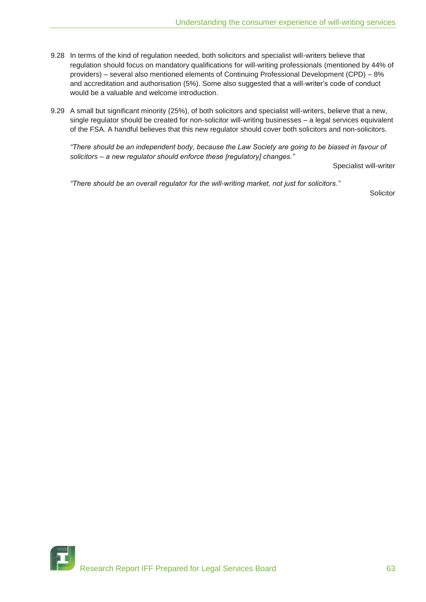- 9.28 In terms of the kind of regulation needed, both solicitors and specialist will-writers believe that regulation should focus on mandatory qualifications for will-writing professionals (mentioned by 44% of providers) – several also mentioned elements of Continuing Professional Development (CPD) – 8% and accreditation and authorisation (5%). Some also suggested that a will-writer"s code of conduct would be a valuable and welcome introduction.
- 9.29 A small but significant minority (25%), of both solicitors and specialist will-writers, believe that a new, single regulator should be created for non-solicitor will-writing businesses – a legal services equivalent of the FSA. A handful believes that this new regulator should cover both solicitors and non-solicitors.

*"There should be an independent body, because the Law Society are going to be biased in favour of solicitors – a new regulator should enforce these [regulatory] changes."*

Specialist will-writer

*"There should be an overall regulator for the will-writing market, not just for solicitors."*

Solicitor

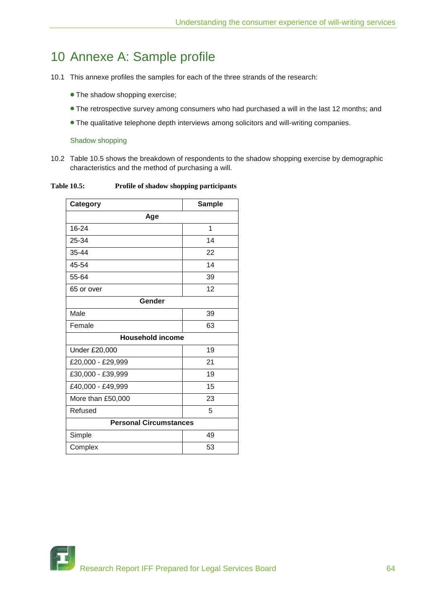## 10 Annexe A: Sample profile

- 10.1 This annexe profiles the samples for each of the three strands of the research:
	- The shadow shopping exercise;
	- The retrospective survey among consumers who had purchased a will in the last 12 months; and
	- The qualitative telephone depth interviews among solicitors and will-writing companies.

## Shadow shopping

10.2 Table 10.5 shows the breakdown of respondents to the shadow shopping exercise by demographic characteristics and the method of purchasing a will.

**Table 10.5: Profile of shadow shopping participants**

| Category                      | <b>Sample</b> |  |  |  |  |
|-------------------------------|---------------|--|--|--|--|
| Age                           |               |  |  |  |  |
| 16-24                         | 1             |  |  |  |  |
| 25-34                         | 14            |  |  |  |  |
| 35-44                         | 22            |  |  |  |  |
| 45-54                         | 14            |  |  |  |  |
| 55-64                         | 39            |  |  |  |  |
| 65 or over                    | 12            |  |  |  |  |
| Gender                        |               |  |  |  |  |
| Male                          | 39            |  |  |  |  |
| Female                        | 63            |  |  |  |  |
| <b>Household income</b>       |               |  |  |  |  |
| Under £20,000                 | 19            |  |  |  |  |
| £20,000 - £29,999             | 21            |  |  |  |  |
| £30,000 - £39,999             | 19            |  |  |  |  |
| £40,000 - £49,999             | 15            |  |  |  |  |
| More than £50,000             | 23            |  |  |  |  |
| Refused                       | 5             |  |  |  |  |
| <b>Personal Circumstances</b> |               |  |  |  |  |
| Simple                        | 49            |  |  |  |  |
| Complex                       | 53            |  |  |  |  |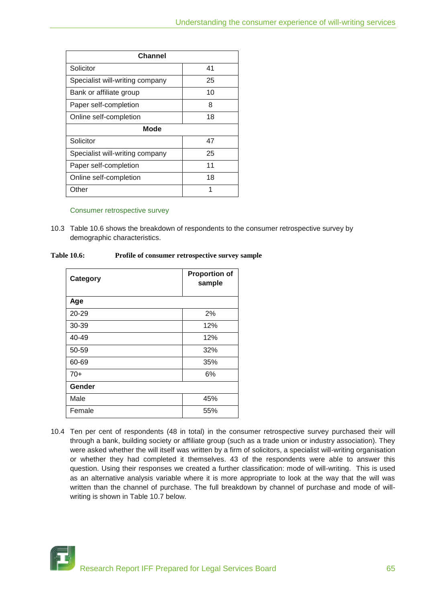| Channel                         |    |  |  |  |  |
|---------------------------------|----|--|--|--|--|
| Solicitor                       | 41 |  |  |  |  |
| Specialist will-writing company | 25 |  |  |  |  |
| Bank or affiliate group         | 10 |  |  |  |  |
| Paper self-completion           | 8  |  |  |  |  |
| Online self-completion          | 18 |  |  |  |  |
| <b>Mode</b>                     |    |  |  |  |  |
| Solicitor                       | 47 |  |  |  |  |
| Specialist will-writing company | 25 |  |  |  |  |
| Paper self-completion           | 11 |  |  |  |  |
| Online self-completion          | 18 |  |  |  |  |
| Other                           | 1  |  |  |  |  |

## Consumer retrospective survey

10.3 Table 10.6 shows the breakdown of respondents to the consumer retrospective survey by demographic characteristics.

| <b>Table 10.6:</b> |  | Profile of consumer retrospective survey sample |
|--------------------|--|-------------------------------------------------|
|                    |  |                                                 |

| Category | <b>Proportion of</b><br>sample |
|----------|--------------------------------|
| Age      |                                |
| 20-29    | 2%                             |
| 30-39    | 12%                            |
| 40-49    | 12%                            |
| 50-59    | 32%                            |
| 60-69    | 35%                            |
| $70+$    | 6%                             |
| Gender   |                                |
| Male     | 45%                            |
| Female   | 55%                            |

10.4 Ten per cent of respondents (48 in total) in the consumer retrospective survey purchased their will through a bank, building society or affiliate group (such as a trade union or industry association). They were asked whether the will itself was written by a firm of solicitors, a specialist will-writing organisation or whether they had completed it themselves. 43 of the respondents were able to answer this question. Using their responses we created a further classification: mode of will-writing. This is used as an alternative analysis variable where it is more appropriate to look at the way that the will was written than the channel of purchase. The full breakdown by channel of purchase and mode of willwriting is shown in Table 10.7 below.

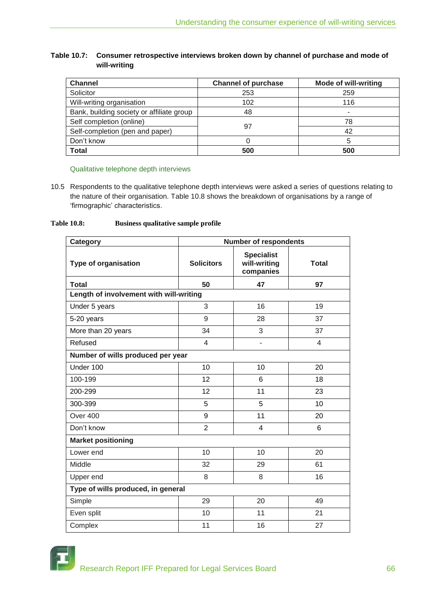## **Table 10.7: Consumer retrospective interviews broken down by channel of purchase and mode of will-writing**

| <b>Channel</b>                            | <b>Channel of purchase</b> | <b>Mode of will-writing</b> |
|-------------------------------------------|----------------------------|-----------------------------|
| Solicitor                                 | 253                        | 259                         |
| Will-writing organisation                 | 102                        | 116                         |
| Bank, building society or affiliate group | 48                         | -                           |
| Self completion (online)                  |                            | 78                          |
| Self-completion (pen and paper)           | 97                         | 42                          |
| Don't know                                |                            |                             |
| <b>Total</b>                              | 500                        | 500                         |

## Qualitative telephone depth interviews

10.5 Respondents to the qualitative telephone depth interviews were asked a series of questions relating to the nature of their organisation. Table 10.8 shows the breakdown of organisations by a range of 'firmographic' characteristics.

## **Table 10.8: Business qualitative sample profile**

| Category                                | <b>Number of respondents</b> |                                                |                |  |  |  |
|-----------------------------------------|------------------------------|------------------------------------------------|----------------|--|--|--|
| <b>Type of organisation</b>             | <b>Solicitors</b>            | <b>Specialist</b><br>will-writing<br>companies | <b>Total</b>   |  |  |  |
| <b>Total</b>                            | 50                           | 47                                             | 97             |  |  |  |
| Length of involvement with will-writing |                              |                                                |                |  |  |  |
| Under 5 years                           | 3                            | 16                                             | 19             |  |  |  |
| 5-20 years                              | 9                            | 28                                             | 37             |  |  |  |
| More than 20 years                      | 34                           | 3                                              | 37             |  |  |  |
| Refused                                 | $\overline{4}$               |                                                | $\overline{4}$ |  |  |  |
| Number of wills produced per year       |                              |                                                |                |  |  |  |
| Under 100                               | 10                           | 10                                             | 20             |  |  |  |
| 100-199                                 | 12                           | 6                                              | 18             |  |  |  |
| 200-299                                 | 12                           | 11                                             | 23             |  |  |  |
| 300-399                                 | 5                            | 5                                              | 10             |  |  |  |
| Over 400                                | 9                            | 11                                             | 20             |  |  |  |
| Don't know                              | $\overline{2}$               | 4                                              | 6              |  |  |  |
| <b>Market positioning</b>               |                              |                                                |                |  |  |  |
| Lower end                               | 10                           | 10                                             | 20             |  |  |  |
| Middle                                  | 32                           | 29                                             | 61             |  |  |  |
| Upper end                               | 8                            | 8                                              | 16             |  |  |  |
| Type of wills produced, in general      |                              |                                                |                |  |  |  |
| Simple                                  | 29                           | 20                                             | 49             |  |  |  |
| Even split                              | 10                           | 11                                             | 21             |  |  |  |
| Complex                                 | 11                           | 16                                             | 27             |  |  |  |

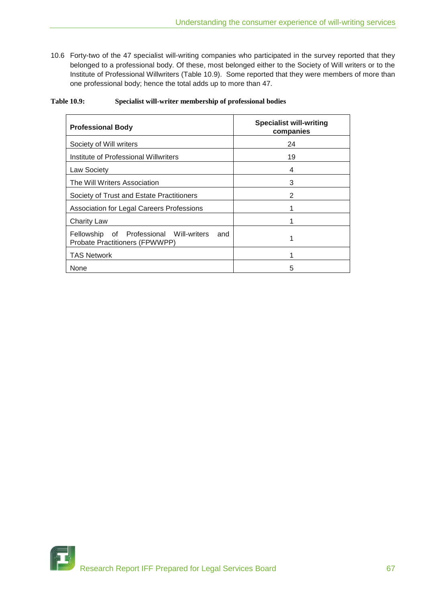10.6 Forty-two of the 47 specialist will-writing companies who participated in the survey reported that they belonged to a professional body. Of these, most belonged either to the Society of Will writers or to the Institute of Professional Willwriters (Table 10.9). Some reported that they were members of more than one professional body; hence the total adds up to more than 47.

| <b>Table 10.9:</b> |  |  | Specialist will-writer membership of professional bodies |  |
|--------------------|--|--|----------------------------------------------------------|--|
|                    |  |  |                                                          |  |

| <b>Professional Body</b>                                                         | <b>Specialist will-writing</b><br>companies |  |  |
|----------------------------------------------------------------------------------|---------------------------------------------|--|--|
| Society of Will writers                                                          | 24                                          |  |  |
| Institute of Professional Willwriters                                            | 19                                          |  |  |
| <b>Law Society</b>                                                               | 4                                           |  |  |
| The Will Writers Association                                                     | 3                                           |  |  |
| Society of Trust and Estate Practitioners                                        | 2                                           |  |  |
| <b>Association for Legal Careers Professions</b>                                 |                                             |  |  |
| <b>Charity Law</b>                                                               |                                             |  |  |
| Fellowship of Professional Will-writers<br>and<br>Probate Practitioners (FPWWPP) |                                             |  |  |
| <b>TAS Network</b>                                                               |                                             |  |  |
| None                                                                             | 5                                           |  |  |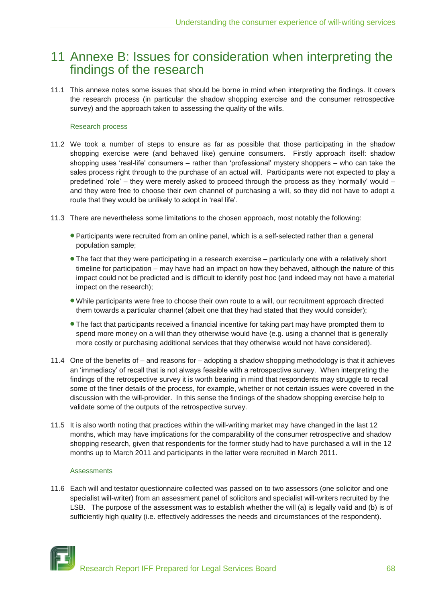## 11 Annexe B: Issues for consideration when interpreting the findings of the research

11.1 This annexe notes some issues that should be borne in mind when interpreting the findings. It covers the research process (in particular the shadow shopping exercise and the consumer retrospective survey) and the approach taken to assessing the quality of the wills.

## Research process

- 11.2 We took a number of steps to ensure as far as possible that those participating in the shadow shopping exercise were (and behaved like) genuine consumers. Firstly approach itself: shadow shopping uses 'real-life' consumers – rather than 'professional' mystery shoppers – who can take the sales process right through to the purchase of an actual will. Participants were not expected to play a predefined "role" – they were merely asked to proceed through the process as they "normally" would – and they were free to choose their own channel of purchasing a will, so they did not have to adopt a route that they would be unlikely to adopt in "real life".
- 11.3 There are nevertheless some limitations to the chosen approach, most notably the following:
	- Participants were recruited from an online panel, which is a self-selected rather than a general population sample;
	- The fact that they were participating in a research exercise particularly one with a relatively short timeline for participation – may have had an impact on how they behaved, although the nature of this impact could not be predicted and is difficult to identify post hoc (and indeed may not have a material impact on the research);
	- While participants were free to choose their own route to a will, our recruitment approach directed them towards a particular channel (albeit one that they had stated that they would consider);
	- The fact that participants received a financial incentive for taking part may have prompted them to spend more money on a will than they otherwise would have (e.g. using a channel that is generally more costly or purchasing additional services that they otherwise would not have considered).
- 11.4 One of the benefits of and reasons for adopting a shadow shopping methodology is that it achieves an "immediacy" of recall that is not always feasible with a retrospective survey. When interpreting the findings of the retrospective survey it is worth bearing in mind that respondents may struggle to recall some of the finer details of the process, for example, whether or not certain issues were covered in the discussion with the will-provider. In this sense the findings of the shadow shopping exercise help to validate some of the outputs of the retrospective survey.
- 11.5 It is also worth noting that practices within the will-writing market may have changed in the last 12 months, which may have implications for the comparability of the consumer retrospective and shadow shopping research, given that respondents for the former study had to have purchased a will in the 12 months up to March 2011 and participants in the latter were recruited in March 2011.

## Assessments

11.6 Each will and testator questionnaire collected was passed on to two assessors (one solicitor and one specialist will-writer) from an assessment panel of solicitors and specialist will-writers recruited by the LSB. The purpose of the assessment was to establish whether the will (a) is legally valid and (b) is of sufficiently high quality (i.e. effectively addresses the needs and circumstances of the respondent).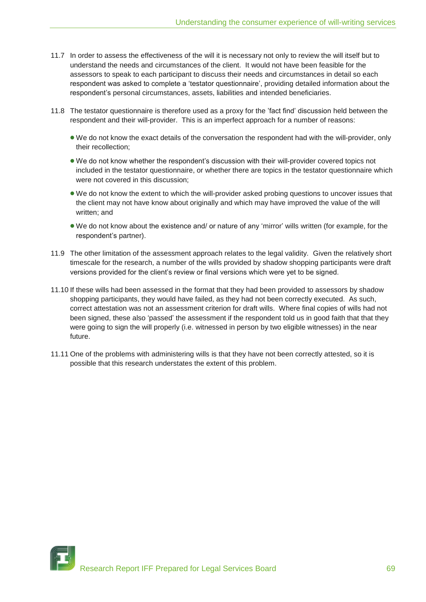- 11.7 In order to assess the effectiveness of the will it is necessary not only to review the will itself but to understand the needs and circumstances of the client. It would not have been feasible for the assessors to speak to each participant to discuss their needs and circumstances in detail so each respondent was asked to complete a "testator questionnaire", providing detailed information about the respondent"s personal circumstances, assets, liabilities and intended beneficiaries.
- 11.8 The testator questionnaire is therefore used as a proxy for the "fact find" discussion held between the respondent and their will-provider. This is an imperfect approach for a number of reasons:
	- We do not know the exact details of the conversation the respondent had with the will-provider, only their recollection;
	- We do not know whether the respondent"s discussion with their will-provider covered topics not included in the testator questionnaire, or whether there are topics in the testator questionnaire which were not covered in this discussion;
	- We do not know the extent to which the will-provider asked probing questions to uncover issues that the client may not have know about originally and which may have improved the value of the will written; and
	- We do not know about the existence and/ or nature of any "mirror" wills written (for example, for the respondent"s partner).
- 11.9 The other limitation of the assessment approach relates to the legal validity. Given the relatively short timescale for the research, a number of the wills provided by shadow shopping participants were draft versions provided for the client"s review or final versions which were yet to be signed.
- 11.10 If these wills had been assessed in the format that they had been provided to assessors by shadow shopping participants, they would have failed, as they had not been correctly executed. As such, correct attestation was not an assessment criterion for draft wills. Where final copies of wills had not been signed, these also "passed" the assessment if the respondent told us in good faith that that they were going to sign the will properly (i.e. witnessed in person by two eligible witnesses) in the near future.
- 11.11 One of the problems with administering wills is that they have not been correctly attested, so it is possible that this research understates the extent of this problem.